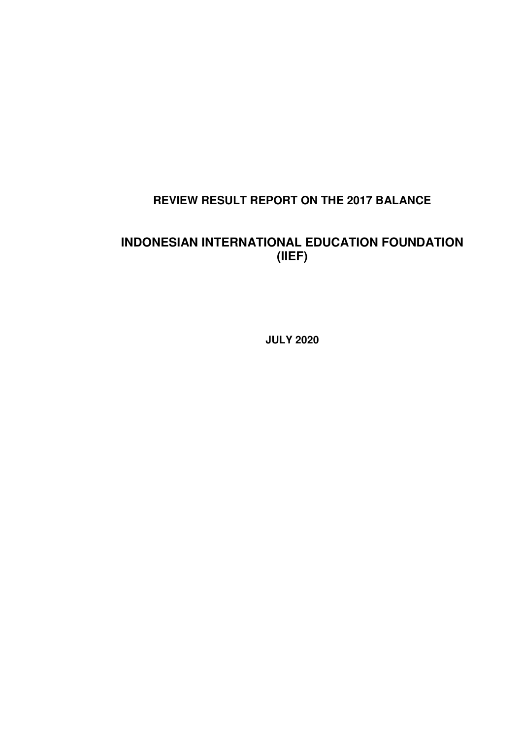# **REVIEW RESULT REPORT ON THE 2017 BALANCE**

# **INDONESIAN INTERNATIONAL EDUCATION FOUNDATION (IIEF)**

**JULY 2020**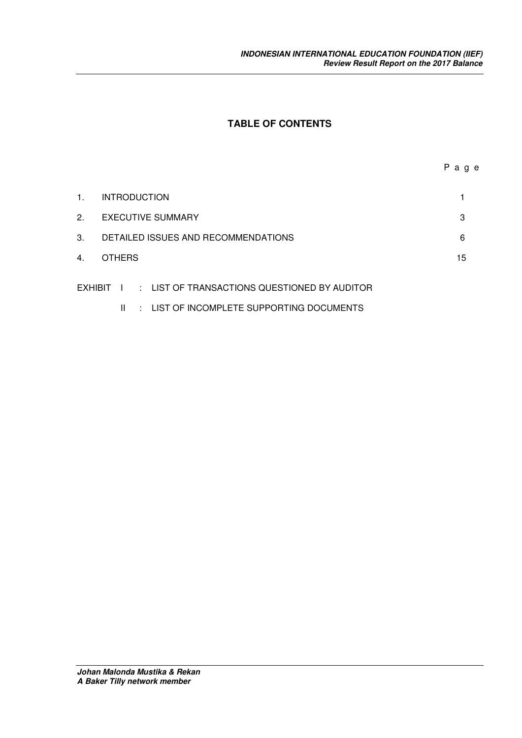## **TABLE OF CONTENTS**

| 1. | <b>INTRODUCTION</b>                 |    |
|----|-------------------------------------|----|
| 2. | <b>EXECUTIVE SUMMARY</b>            | 3  |
| 3. | DETAILED ISSUES AND RECOMMENDATIONS | 6  |
| 4. | <b>OTHERS</b>                       | 15 |
|    |                                     |    |

- EXHIBIT I : LIST OF TRANSACTIONS QUESTIONED BY AUDITOR
	- II : LIST OF INCOMPLETE SUPPORTING DOCUMENTS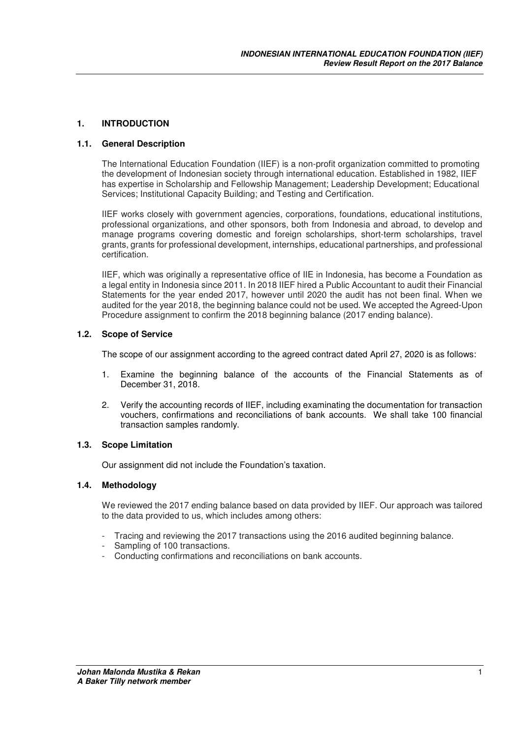#### **1. INTRODUCTION**

#### **1.1. General Description**

The International Education Foundation (IIEF) is a non-profit organization committed to promoting the development of Indonesian society through international education. Established in 1982, IIEF has expertise in Scholarship and Fellowship Management; Leadership Development; Educational Services; Institutional Capacity Building; and Testing and Certification.

IIEF works closely with government agencies, corporations, foundations, educational institutions, professional organizations, and other sponsors, both from Indonesia and abroad, to develop and manage programs covering domestic and foreign scholarships, short-term scholarships, travel grants, grants for professional development, internships, educational partnerships, and professional certification.

IIEF, which was originally a representative office of IIE in Indonesia, has become a Foundation as a legal entity in Indonesia since 2011. In 2018 IIEF hired a Public Accountant to audit their Financial Statements for the year ended 2017, however until 2020 the audit has not been final. When we audited for the year 2018, the beginning balance could not be used. We accepted the Agreed-Upon Procedure assignment to confirm the 2018 beginning balance (2017 ending balance).

#### **1.2. Scope of Service**

The scope of our assignment according to the agreed contract dated April 27, 2020 is as follows:

- 1. Examine the beginning balance of the accounts of the Financial Statements as of December 31, 2018.
- 2. Verify the accounting records of IIEF, including examinating the documentation for transaction vouchers, confirmations and reconciliations of bank accounts. We shall take 100 financial transaction samples randomly.

#### **1.3. Scope Limitation**

Our assignment did not include the Foundation's taxation.

#### **1.4. Methodology**

We reviewed the 2017 ending balance based on data provided by IIEF. Our approach was tailored to the data provided to us, which includes among others:

- Tracing and reviewing the 2017 transactions using the 2016 audited beginning balance.
- Sampling of 100 transactions.
- Conducting confirmations and reconciliations on bank accounts.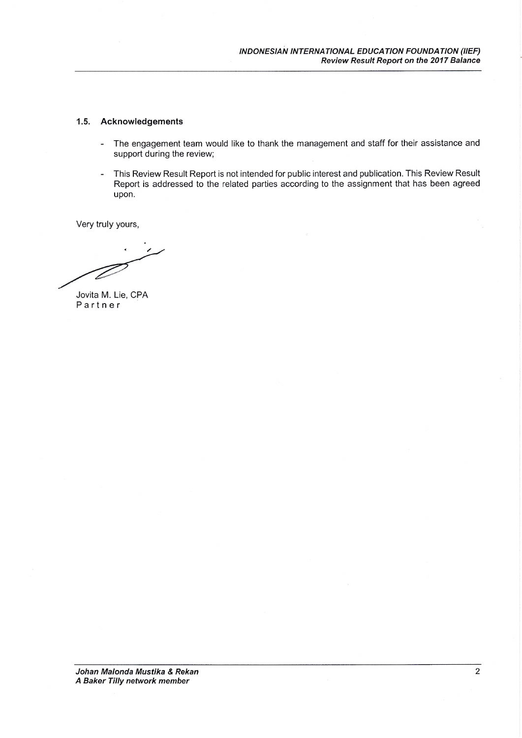#### 1.5. Acknowledgements

- The engagement team would like to thank the management and staff for their assistance and  $\sim$ support during the review;
- This Review Result Report is not intended for public interest and publication. This Review Result  $\ddot{\phantom{1}}$ Report is addressed to the related parties according to the assignment that has been agreed upon.

Very truly yours,

Jovita M. Lie, CPA Partner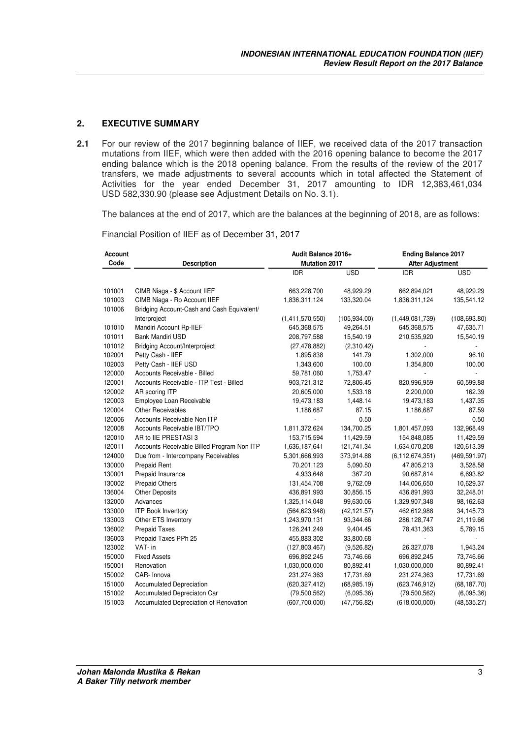#### **2. EXECUTIVE SUMMARY**

**2.1** For our review of the 2017 beginning balance of IIEF, we received data of the 2017 transaction mutations from IIEF, which were then added with the 2016 opening balance to become the 2017 ending balance which is the 2018 opening balance. From the results of the review of the 2017 transfers, we made adjustments to several accounts which in total affected the Statement of Activities for the year ended December 31, 2017 amounting to IDR 12,383,461,034 USD 582,330.90 (please see Adjustment Details on No. 3.1).

The balances at the end of 2017, which are the balances at the beginning of 2018, are as follows:

Financial Position of IIEF as of December 31, 2017

| Account |                                            | Audit Balance 2016+  |               | <b>Ending Balance 2017</b> |               |  |  |
|---------|--------------------------------------------|----------------------|---------------|----------------------------|---------------|--|--|
| Code    | <b>Description</b>                         | <b>Mutation 2017</b> |               | <b>After Adjustment</b>    |               |  |  |
|         |                                            | <b>IDR</b>           | <b>USD</b>    | IDR.                       | <b>USD</b>    |  |  |
| 101001  | CIMB Niaga - \$ Account IIEF               | 663,228,700          | 48,929.29     | 662,894,021                | 48,929.29     |  |  |
| 101003  | CIMB Niaga - Rp Account IIEF               | 1,836,311,124        | 133,320.04    | 1,836,311,124              | 135,541.12    |  |  |
| 101006  | Bridging Account-Cash and Cash Equivalent/ |                      |               |                            |               |  |  |
|         | Interproject                               | (1,411,570,550)      | (105, 934.00) | (1,449,081,739)            | (108, 693.80) |  |  |
| 101010  | Mandiri Account Rp-IIEF                    | 645,368,575          | 49,264.51     | 645,368,575                | 47,635.71     |  |  |
| 101011  | Bank Mandiri USD                           | 208,797,588          | 15,540.19     | 210,535,920                | 15,540.19     |  |  |
| 101012  | <b>Bridging Account/Interproject</b>       | (27, 478, 882)       | (2,310.42)    |                            |               |  |  |
| 102001  | Petty Cash - IIEF                          | 1,895,838            | 141.79        | 1,302,000                  | 96.10         |  |  |
| 102003  | Petty Cash - IIEF USD                      | 1,343,600            | 100.00        | 1,354,800                  | 100.00        |  |  |
| 120000  | Accounts Receivable - Billed               | 59,781,060           | 1,753.47      |                            |               |  |  |
| 120001  | Accounts Receivable - ITP Test - Billed    | 903,721,312          | 72,806.45     | 820,996,959                | 60,599.88     |  |  |
| 120002  | AR scoring ITP                             | 20,605,000           | 1,533.18      | 2,200,000                  | 162.39        |  |  |
| 120003  | Employee Loan Receivable                   | 19,473,183           | 1,448.14      | 19,473,183                 | 1,437.35      |  |  |
| 120004  | <b>Other Receivables</b>                   | 1,186,687            | 87.15         | 1,186,687                  | 87.59         |  |  |
| 120006  | Accounts Receivable Non ITP                |                      | 0.50          |                            | 0.50          |  |  |
| 120008  | Accounts Receivable IBT/TPO                | 1,811,372,624        | 134,700.25    | 1,801,457,093              | 132,968.49    |  |  |
| 120010  | AR to IIE PRESTASI 3                       | 153,715,594          | 11,429.59     | 154,848,085                | 11,429.59     |  |  |
| 120011  | Accounts Receivable Billed Program Non ITP | 1,636,187,641        | 121,741.34    | 1,634,070,208              | 120,613.39    |  |  |
| 124000  | Due from - Intercompany Receivables        | 5,301,666,993        | 373,914.88    | (6, 112, 674, 351)         | (469, 591.97) |  |  |
| 130000  | <b>Prepaid Rent</b>                        | 70,201,123           | 5,090.50      | 47,805,213                 | 3,528.58      |  |  |
| 130001  | Prepaid Insurance                          | 4,933,648            | 367.20        | 90,687,814                 | 6,693.82      |  |  |
| 130002  | Prepaid Others                             | 131,454,708          | 9,762.09      | 144,006,650                | 10,629.37     |  |  |
| 136004  | <b>Other Deposits</b>                      | 436,891,993          | 30,856.15     | 436,891,993                | 32,248.01     |  |  |
| 132000  | Advances                                   | 1,325,114,048        | 99,630.06     | 1,329,907,348              | 98,162.63     |  |  |
| 133000  | <b>ITP Book Inventory</b>                  | (564, 623, 948)      | (42, 121.57)  | 462,612,988                | 34,145.73     |  |  |
| 133003  | Other ETS Inventory                        | 1,243,970,131        | 93,344.66     | 286,128,747                | 21,119.66     |  |  |
| 136002  | <b>Prepaid Taxes</b>                       | 126,241,249          | 9,404.45      | 78,431,363                 | 5,789.15      |  |  |
| 136003  | Prepaid Taxes PPh 25                       | 455,883,302          | 33,800.68     |                            |               |  |  |
| 123002  | VAT- in                                    | (127,803,467)        | (9,526.82)    | 26,327,078                 | 1,943.24      |  |  |
| 150000  | <b>Fixed Assets</b>                        | 696,892,245          | 73,746.66     | 696,892,245                | 73,746.66     |  |  |
| 150001  | Renovation                                 | 1,030,000,000        | 80,892.41     | 1,030,000,000              | 80,892.41     |  |  |
| 150002  | CAR- Innova                                | 231,274,363          | 17,731.69     | 231,274,363                | 17,731.69     |  |  |
| 151000  | <b>Accumulated Depreciation</b>            | (620, 327, 412)      | (68, 985.19)  | (623, 746, 912)            | (68, 187.70)  |  |  |
| 151002  | Accumulated Depreciaton Car                | (79,500,562)         | (6,095.36)    | (79,500,562)               | (6,095.36)    |  |  |
| 151003  | Accumulated Depreciation of Renovation     | (607,700,000)        | (47, 756.82)  | (618,000,000)              | (48, 535.27)  |  |  |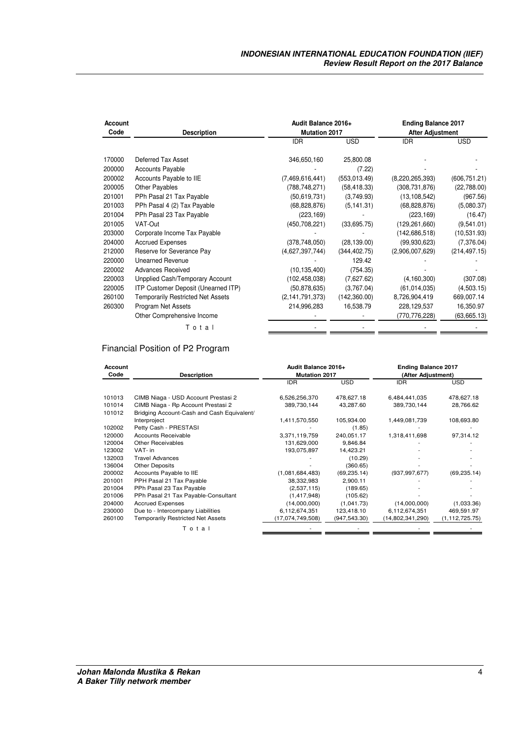| Account<br>Code | <b>Description</b>                       | Audit Balance 2016+<br><b>Mutation 2017</b> |               | <b>Ending Balance 2017</b><br><b>After Adjustment</b> |               |  |
|-----------------|------------------------------------------|---------------------------------------------|---------------|-------------------------------------------------------|---------------|--|
|                 |                                          | <b>IDR</b>                                  | <b>USD</b>    | <b>IDR</b>                                            | <b>USD</b>    |  |
| 170000          | Deferred Tax Asset                       | 346,650,160                                 | 25,800.08     |                                                       |               |  |
| 200000          | <b>Accounts Payable</b>                  |                                             | (7.22)        |                                                       |               |  |
| 200002          | Accounts Payable to IIE                  | (7,469,616,441)                             | (553, 013.49) | (8,220,265,393)                                       | (606, 751.21) |  |
| 200005          | Other Payables                           | (788, 748, 271)                             | (58, 418.33)  | (308, 731, 876)                                       | (22,788.00)   |  |
| 201001          | PPh Pasal 21 Tax Payable                 | (50, 619, 731)                              | (3,749.93)    | (13, 108, 542)                                        | (967.56)      |  |
| 201003          | PPh Pasal 4 (2) Tax Payable              | (68, 828, 876)                              | (5, 141.31)   | (68, 828, 876)                                        | (5,080.37)    |  |
| 201004          | PPh Pasal 23 Tax Payable                 | (223, 169)                                  |               | (223, 169)                                            | (16.47)       |  |
| 201005          | VAT-Out                                  | (450, 708, 221)                             | (33,695.75)   | (129, 261, 660)                                       | (9,541.01)    |  |
| 203000          | Corporate Income Tax Payable             |                                             |               | (142, 686, 518)                                       | (10,531.93)   |  |
| 204000          | <b>Accrued Expenses</b>                  | (378, 748, 050)                             | (28, 139.00)  | (99, 930, 623)                                        | (7,376.04)    |  |
| 212000          | Reserve for Severance Pay                | (4,627,397,744)                             | (344, 402.75) | (2,906,007,629)                                       | (214, 497.15) |  |
| 220000          | <b>Unearned Revenue</b>                  |                                             | 129.42        |                                                       |               |  |
| 220002          | <b>Advances Received</b>                 | (10, 135, 400)                              | (754.35)      |                                                       |               |  |
| 220003          | Unpplied Cash/Temporary Account          | (102, 458, 038)                             | (7,627.62)    | (4, 160, 300)                                         | (307.08)      |  |
| 220005          | ITP Customer Deposit (Unearned ITP)      | (50, 878, 635)                              | (3,767.04)    | (61, 014, 035)                                        | (4,503.15)    |  |
| 260100          | <b>Temporarily Restricted Net Assets</b> | (2, 141, 791, 373)                          | (142, 360.00) | 8,726,904,419                                         | 669,007.14    |  |
| 260300          | Program Net Assets                       | 214,996,283                                 | 16,538.79     | 228,129,537                                           | 16,350.97     |  |
|                 | Other Comprehensive Income               |                                             |               | (770,776,228)                                         | (63, 665.13)  |  |
|                 | Total                                    |                                             |               |                                                       |               |  |
|                 |                                          |                                             |               |                                                       |               |  |

## Financial Position of P2 Program

| Account<br>Code | <b>Description</b>                         | Audit Balance 2016+<br><b>Mutation 2017</b> |               | <b>Ending Balance 2017</b><br>(After Adjustment) |                  |  |
|-----------------|--------------------------------------------|---------------------------------------------|---------------|--------------------------------------------------|------------------|--|
|                 |                                            | <b>IDR</b>                                  | <b>USD</b>    | <b>IDR</b>                                       | <b>USD</b>       |  |
| 101013          | CIMB Niaga - USD Account Prestasi 2        | 6,526,256,370                               | 478,627.18    | 6,484,441,035                                    | 478,627.18       |  |
| 101014          | CIMB Niaga - Rp Account Prestasi 2         | 389,730,144                                 | 43,287.60     | 389,730,144                                      | 28,766.62        |  |
| 101012          | Bridging Account-Cash and Cash Equivalent/ |                                             |               |                                                  |                  |  |
|                 | Interproject                               | 1,411,570,550                               | 105,934.00    | 1,449,081,739                                    | 108,693.80       |  |
| 102002          | Petty Cash - PRESTASI                      |                                             | (1.85)        |                                                  |                  |  |
| 120000          | Accounts Receivable                        | 3,371,119,759                               | 240,051.17    | 1,318,411,698                                    | 97,314.12        |  |
| 120004          | <b>Other Receivables</b>                   | 131,629,000                                 | 9,846.84      |                                                  |                  |  |
| 123002          | VAT- in                                    | 193,075,897                                 | 14,423.21     |                                                  |                  |  |
| 132003          | <b>Travel Advances</b>                     |                                             | (10.29)       |                                                  |                  |  |
| 136004          | <b>Other Deposits</b>                      |                                             | (360.65)      |                                                  |                  |  |
| 200002          | Accounts Payable to IIE                    | (1,081,684,483)                             | (69, 235.14)  | (937, 997, 677)                                  | (69, 235.14)     |  |
| 201001          | PPH Pasal 21 Tax Payable                   | 38,332,983                                  | 2,900.11      |                                                  |                  |  |
| 201004          | PPh Pasal 23 Tax Payable                   | (2,537,115)                                 | (189.65)      |                                                  |                  |  |
| 201006          | PPh Pasal 21 Tax Payable-Consultant        | (1, 417, 948)                               | (105.62)      |                                                  |                  |  |
| 204000          | <b>Accrued Expenses</b>                    | (14,000,000)                                | (1,041.73)    | (14,000,000)                                     | (1,033.36)       |  |
| 230000          | Due to - Intercompany Liabilities          | 6,112,674,351                               | 123,418.10    | 6,112,674,351                                    | 469,591.97       |  |
| 260100          | <b>Temporarily Restricted Net Assets</b>   | (17,074,749,508)                            | (947, 543.30) | (14,802,341,290)                                 | (1, 112, 725.75) |  |
|                 | Total                                      |                                             |               |                                                  |                  |  |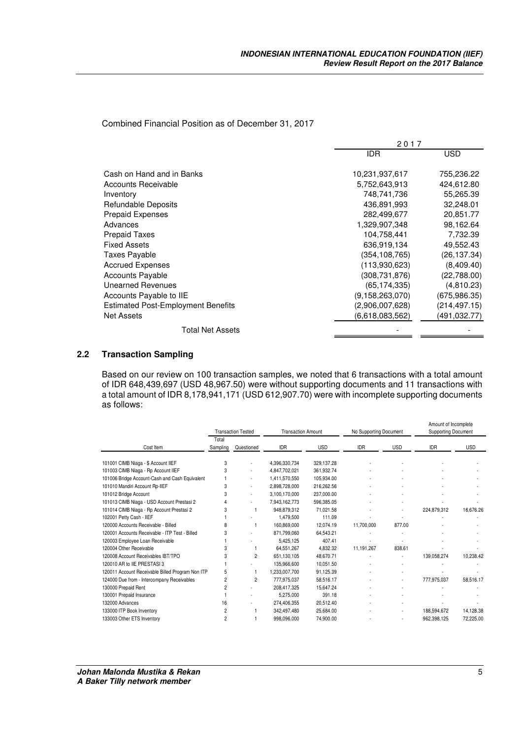Combined Financial Position as of December 31, 2017

|                                           | 2017            |               |
|-------------------------------------------|-----------------|---------------|
|                                           | IDR             | USD           |
| Cash on Hand and in Banks                 | 10,231,937,617  | 755,236.22    |
| Accounts Receivable                       | 5,752,643,913   | 424,612.80    |
| Inventory                                 | 748,741,736     | 55,265.39     |
| Refundable Deposits                       | 436,891,993     | 32,248.01     |
| <b>Prepaid Expenses</b>                   | 282,499,677     | 20,851.77     |
| Advances                                  | 1,329,907,348   | 98,162.64     |
| <b>Prepaid Taxes</b>                      | 104,758,441     | 7,732.39      |
| <b>Fixed Assets</b>                       | 636,919,134     | 49,552.43     |
| <b>Taxes Payable</b>                      | (354,108,765)   | (26,137.34)   |
| <b>Accrued Expenses</b>                   | (113.930.623)   | (8,409.40)    |
| <b>Accounts Payable</b>                   | (308,731,876)   | (22,788.00)   |
| Unearned Revenues                         | (65, 174, 335)  | (4,810.23)    |
| Accounts Payable to IIE                   | (9,158,263,070) | (675, 986.35) |
| <b>Estimated Post-Employment Benefits</b> | (2,906,007,628) | (214, 497.15) |
| <b>Net Assets</b>                         | (6,618,083,562) | (491,032.77)  |
| <b>Total Net Assets</b>                   |                 |               |

#### **2.2 Transaction Sampling**

Based on our review on 100 transaction samples, we noted that 6 transactions with a total amount of IDR 648,439,697 (USD 48,967.50) were without supporting documents and 11 transactions with a total amount of IDR 8,178,941,171 (USD 612,907.70) were with incomplete supporting documents as follows:

|                                                  | <b>Transaction Tested</b> |                | <b>Transaction Amount</b> |            | No Supporting Document |            | Amount of Incomplete<br><b>Supporting Document</b> |            |
|--------------------------------------------------|---------------------------|----------------|---------------------------|------------|------------------------|------------|----------------------------------------------------|------------|
| Cost Item                                        | Total<br>Sampling         | Questioned     | <b>IDR</b>                | <b>USD</b> | <b>IDR</b>             | <b>USD</b> | <b>IDR</b>                                         | <b>USD</b> |
| 101001 CIMB Niaga - \$ Account IIEF              | 3                         |                | 4,396,330,734             | 329.137.28 |                        |            |                                                    |            |
| 101003 CIMB Niaga - Rp Account IIEF              | 3                         |                | 4,847,702,021             | 361,932.74 |                        |            |                                                    |            |
| 101006 Bridge Account-Cash and Cash Equivalent   |                           | ٠              | 1,411,570,550             | 105.934.00 |                        |            |                                                    |            |
| 101010 Mandiri Account Rp-IIEF                   | 3                         | ٠              | 2,898,728,000             | 216,262.56 |                        |            |                                                    |            |
| 101012 Bridge Account                            | 3                         | ٠              | 3,100,170,000             | 237,000.00 |                        |            |                                                    |            |
| 101013 CIMB Niaga - USD Account Prestasi 2       | 4                         |                | 7,943,162,773             | 596,385.05 |                        |            |                                                    |            |
| 101014 CIMB Niaga - Rp Account Prestasi 2        | 3                         |                | 948,879,312               | 71,021.58  |                        |            | 224.879.312                                        | 16,676.26  |
| 102001 Petty Cash - IIEF                         |                           |                | 1.479.500                 | 111.09     |                        |            |                                                    |            |
| 120000 Accounts Receivable - Billed              | 8                         |                | 160.869.000               | 12.074.19  | 11,700,000             | 877.00     |                                                    |            |
| 120001 Accounts Receivable - ITP Test - Billed   | 3                         |                | 871.799.060               | 64.543.21  |                        |            |                                                    |            |
| 120003 Employee Loan Receivable                  |                           |                | 5,425,125                 | 407.41     |                        |            |                                                    |            |
| 120004 Other Receivable                          | 3                         |                | 64,551,267                | 4,832.32   | 11, 191, 267           | 838.61     |                                                    |            |
| 120008 Account Receivables IBT/TPO               | 3                         | $\overline{2}$ | 651,130,105               | 48.670.71  |                        |            | 139.058.274                                        | 10.238.42  |
| 120010 AR to IIE PRESTASI 3                      |                           |                | 135.966.600               | 10.051.50  |                        |            |                                                    |            |
| 120011 Account Receivable Billed Program Non ITP | 5                         | 1              | 1,233,007,700             | 91,125.39  |                        |            |                                                    |            |
| 124000 Due from - Intercompany Receivables       | $\overline{c}$            | 2              | 777,975,037               | 58,516.17  |                        | ٠          | 777.975.037                                        | 58,516.17  |
| 130000 Prepaid Rent                              | $\overline{c}$            |                | 208.417.325               | 15.647.24  |                        |            |                                                    |            |
| 130001 Prepaid Insurance                         |                           |                | 5,275,000                 | 391.18     |                        |            |                                                    |            |
| 132000 Advances                                  | 16                        |                | 274,406,355               | 20,512.40  |                        |            |                                                    |            |
| 133000 ITP Book Inventory                        | $\overline{c}$            |                | 342,497,480               | 25,684.00  |                        |            | 188,594,672                                        | 14,128.38  |
| 133003 Other ETS Inventory                       | $\overline{c}$            |                | 998,096,000               | 74,900.00  |                        |            | 962,398,125                                        | 72,225.00  |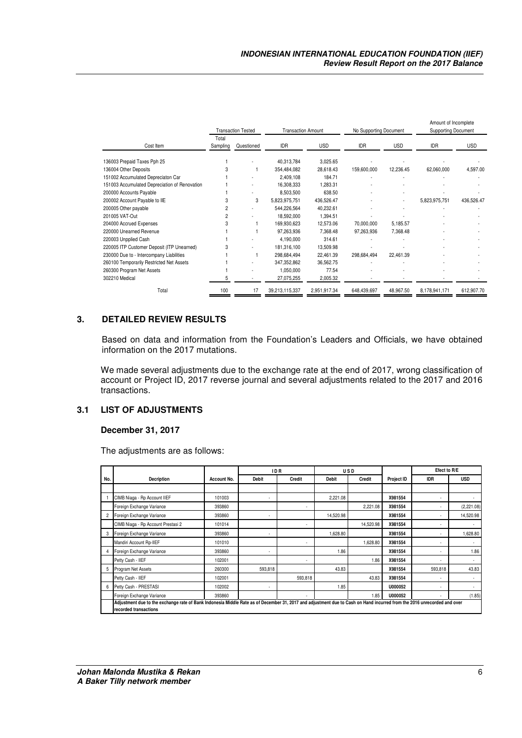|                                               | <b>Transaction Tested</b> |            |                | <b>Transaction Amount</b> |             | No Supporting Document |               | Amount of Incomplete<br><b>Supporting Document</b> |  |
|-----------------------------------------------|---------------------------|------------|----------------|---------------------------|-------------|------------------------|---------------|----------------------------------------------------|--|
| Cost Item                                     | Total<br>Sampling         | Questioned | IDR            | <b>USD</b>                | IDR         | <b>USD</b>             | IDR           | <b>USD</b>                                         |  |
| 136003 Prepaid Taxes Pph 25                   |                           |            | 40,313,784     | 3,025.65                  |             |                        |               |                                                    |  |
| 136004 Other Deposits                         |                           |            | 354,484,082    | 28,618.43                 | 159,600,000 | 12,236.45              | 62,060,000    | 4,597.00                                           |  |
| 151002 Accumulated Depreciaton Car            |                           |            | 2,409,108      | 184.71                    |             |                        |               |                                                    |  |
| 151003 Accumulated Depreciation of Renovation |                           |            | 16,308,333     | 1,283.31                  |             |                        |               |                                                    |  |
| 200000 Accounts Payable                       |                           |            | 8,503,500      | 638.50                    |             |                        |               |                                                    |  |
| 200002 Account Payable to IIE                 | 3                         | 3          | 5,823,975,751  | 436,526.47                |             |                        | 5,823,975,751 | 436,526.47                                         |  |
| 200005 Other payable                          | 2                         |            | 544,226,564    | 40,232.61                 |             |                        |               |                                                    |  |
| 201005 VAT-Out                                |                           |            | 18,592,000     | 1,394.51                  |             |                        |               |                                                    |  |
| 204000 Accrued Expenses                       |                           |            | 169,930,623    | 12,573.06                 | 70,000,000  | 5,185.57               |               |                                                    |  |
| 220000 Unearned Revenue                       |                           |            | 97,263,936     | 7,368.48                  | 97,263,936  | 7,368.48               |               |                                                    |  |
| 220003 Unpplied Cash                          |                           |            | 4,190,000      | 314.61                    |             |                        |               |                                                    |  |
| 220005 ITP Customer Deposit (ITP Unearned)    |                           |            | 181,316,100    | 13,509.98                 |             |                        |               |                                                    |  |
| 230000 Due to - Intercompany Liabilities      |                           |            | 298,684,494    | 22,461.39                 | 298,684,494 | 22,461.39              |               |                                                    |  |
| 260100 Temporarily Restricted Net Assets      |                           |            | 347,352,862    | 36,562.75                 |             |                        |               |                                                    |  |
| 260300 Program Net Assets                     |                           |            | 1,050,000      | 77.54                     |             |                        |               |                                                    |  |
| 302210 Medical                                |                           |            | 27,075,255     | 2,005.32                  |             |                        |               |                                                    |  |
| Total                                         | 100                       | 17         | 39,213,115,337 | 2,951,917.34              | 648,439,697 | 48,967.50              | 8,178,941,171 | 612,907.70                                         |  |

#### **3. DETAILED REVIEW RESULTS**

Based on data and information from the Foundation's Leaders and Officials, we have obtained information on the 2017 mutations.

We made several adjustments due to the exchange rate at the end of 2017, wrong classification of account or Project ID, 2017 reverse journal and several adjustments related to the 2017 and 2016 transactions.

#### **3.1 LIST OF ADJUSTMENTS**

#### **December 31, 2017**

The adjustments are as follows:

|     |                                                                                                                                                                         |             | <b>IDR</b><br><b>USD</b> |         |           | Efect to R/E |            |            |            |
|-----|-------------------------------------------------------------------------------------------------------------------------------------------------------------------------|-------------|--------------------------|---------|-----------|--------------|------------|------------|------------|
| No. | Decription                                                                                                                                                              | Account No. | Debit                    | Credit  | Debit     | Credit       | Project ID | <b>IDR</b> | <b>USD</b> |
|     |                                                                                                                                                                         |             |                          |         |           |              |            |            |            |
|     | CIMB Niaga - Rp Account IIEF                                                                                                                                            | 101003      |                          |         | 2,221.08  |              | X981554    |            |            |
|     | Foreign Exchange Variance                                                                                                                                               | 393860      |                          | ٠       |           | 2,221.08     | X981554    |            | (2,221.08) |
|     | Foreign Exchange Variance                                                                                                                                               | 393860      |                          |         | 14,520.98 |              | X981554    |            | 14,520.98  |
|     | CIMB Niaga - Rp Account Prestasi 2                                                                                                                                      | 101014      |                          |         |           | 14,520.98    | X981554    |            |            |
|     | Foreign Exchange Variance                                                                                                                                               | 393860      | ٠                        |         | 1,628.80  |              | X981554    |            | 1,628.80   |
|     | Mandiri Account Rp-IIEF                                                                                                                                                 | 101010      |                          | ٠       |           | 1.628.80     | X981554    |            |            |
|     | Foreign Exchange Variance                                                                                                                                               | 393860      | ٠                        |         | 1.86      |              | X981554    |            | 1.86       |
|     | Petty Cash - IIEF                                                                                                                                                       | 102001      |                          |         |           | 1.86         | X981554    |            |            |
| 5   | Program Net Assets                                                                                                                                                      | 260300      | 593,818                  |         | 43.83     |              | X981554    | 593,818    | 43.83      |
|     | Petty Cash - IIEF                                                                                                                                                       | 102001      |                          | 593,818 |           | 43.83        | X981554    |            |            |
| 6   | Petty Cash - PRESTASI                                                                                                                                                   | 102002      |                          |         | 1.85      |              | U000052    |            |            |
|     | Foreign Exchange Variance                                                                                                                                               | 393860      |                          |         |           | 1.85         | U000052    |            | (1.85)     |
|     | Adjustment due to the exchange rate of Bank Indonesia Middle Rate as of December 31, 2017 and adjustment due to Cash on Hand incurred from the 2016 unrecorded and over |             |                          |         |           |              |            |            |            |
|     | recorded transactions                                                                                                                                                   |             |                          |         |           |              |            |            |            |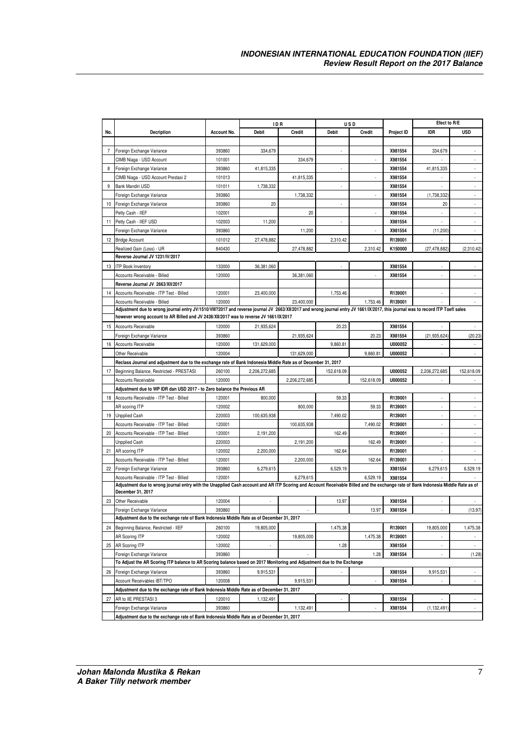|     |                                                                                                                                                                                                       |             | ID R          |               |              | USD           |            | Efect to R/E             |                          |
|-----|-------------------------------------------------------------------------------------------------------------------------------------------------------------------------------------------------------|-------------|---------------|---------------|--------------|---------------|------------|--------------------------|--------------------------|
| No. | <b>Decription</b>                                                                                                                                                                                     | Account No. | Debit         | Credit        | <b>Debit</b> | <b>Credit</b> | Project ID | <b>IDR</b>               | <b>USD</b>               |
|     |                                                                                                                                                                                                       |             |               |               |              |               |            |                          |                          |
| 7   | Foreign Exchange Variance                                                                                                                                                                             | 393860      | 334,679       |               | ×,           |               | X981554    | 334,679                  |                          |
|     | CIMB Niaga - USD Account                                                                                                                                                                              | 101001      |               | 334,679       |              |               | X981554    |                          |                          |
| 8   | Foreign Exchange Variance                                                                                                                                                                             | 393860      | 41,815,335    |               |              |               | X981554    | 41,815,335               |                          |
|     | CIMB Niaga - USD Account Prestasi 2                                                                                                                                                                   | 101013      |               | 41,815,335    |              |               | X981554    |                          |                          |
| 9   | Bank Mandiri USD                                                                                                                                                                                      | 101011      | 1,738,332     |               |              |               | X981554    |                          |                          |
|     | Foreign Exchange Variance                                                                                                                                                                             | 393860      |               | 1,738,332     |              |               | X981554    | (1,738,332)              |                          |
| 10  | Foreign Exchange Variance                                                                                                                                                                             | 393860      | 20            |               |              |               | X981554    | 20                       |                          |
|     | Petty Cash - IIEF                                                                                                                                                                                     | 102001      |               | 20            |              |               | X981554    |                          |                          |
| 11  | Petty Cash - IIEF USD                                                                                                                                                                                 | 102003      | 11,200        |               | ×            |               | X981554    |                          |                          |
|     | Foreign Exchange Variance                                                                                                                                                                             | 393860      |               | 11,200        |              |               | X981554    | (11, 200)                |                          |
| 12  | <b>Bridge Account</b>                                                                                                                                                                                 | 101012      | 27,478,882    |               | 2,310.42     |               | R139001    |                          |                          |
|     | Realized Gain (Loss) - UR                                                                                                                                                                             | 840430      |               | 27,478,882    |              | 2,310.42      | K150000    | (27, 478, 882)           | (2,310.42)               |
|     | Reverse Journal JV 1231/IV/2017                                                                                                                                                                       |             |               |               |              |               |            |                          |                          |
|     | 13 ITP Book Inventory                                                                                                                                                                                 | 133000      | 36,381,060    |               |              |               | X981554    |                          |                          |
|     | Accounts Receivable - Billed                                                                                                                                                                          | 120000      |               | 36,381,060    |              |               | X981554    |                          |                          |
|     | Reverse Journal JV 2663/XII/2017                                                                                                                                                                      |             |               |               |              |               |            |                          |                          |
| 14  | Accounts Receivable - ITP Test - Billed                                                                                                                                                               | 120001      | 23,400,000    |               | 1,753.46     |               | R139001    |                          |                          |
|     | Accounts Receivable - Billed                                                                                                                                                                          | 120000      |               | 23,400,000    |              | 1,753.46      | R139001    |                          |                          |
|     | Adjustment due to wrong journal entry JV/1510/VIII?2017 and reverse journal JV 2663/XII/2017 and wrong journal entry JV 1661/IX/2017, this journal was to record ITP Toefl sales                      |             |               |               |              |               |            |                          |                          |
|     | however wrong account to AR Billed and JV 2438/XII/2017 was to reverse JV 1661/IX/2017                                                                                                                |             |               |               |              |               |            |                          |                          |
| 15  | <b>Accounts Receivable</b>                                                                                                                                                                            | 120000      | 21,935,624    |               | 20.23        |               | X981554    |                          |                          |
|     | Foreign Exchange Variance                                                                                                                                                                             | 393860      |               | 21,935,624    |              | 20.23         | X981554    | (21, 935, 624)           | (20.23)                  |
| 16  | <b>Accounts Receivable</b>                                                                                                                                                                            | 120000      | 131,629,000   |               | 9,860.81     |               | U000052    |                          |                          |
|     | Other Receivable                                                                                                                                                                                      | 120004      |               | 131,629,000   |              | 9.860.81      | U000052    |                          |                          |
|     | Reclass Journal and adjustment due to the exchange rate of Bank Indonesia Middle Rate as of December 31, 2017                                                                                         |             |               |               |              |               |            |                          |                          |
| 17  | Beginning Balance, Restricted - PRESTASI                                                                                                                                                              | 260100      | 2,206,272,685 |               | 152,618.09   |               | U000052    | 2,206,272,685            | 152,618.09               |
|     | <b>Accounts Receivable</b>                                                                                                                                                                            | 120000      |               | 2,206,272,685 |              | 152,618.09    | U000052    |                          |                          |
|     | Adjustment due to WP IDR dan USD 2017 - to Zero balance the Previous AR                                                                                                                               |             |               |               |              |               |            |                          |                          |
| 18  | Accounts Receivable - ITP Test - Billed                                                                                                                                                               | 120001      | 800,000       |               | 59.33        |               | R139001    |                          |                          |
|     | AR scoring ITP                                                                                                                                                                                        | 120002      |               | 800,000       |              | 59.33         | R139001    |                          |                          |
| 19  | <b>Unpplied Cash</b>                                                                                                                                                                                  | 220003      | 100,635,938   |               | 7,490.02     |               | R139001    |                          |                          |
|     | Accounts Receivable - ITP Test - Billed                                                                                                                                                               | 120001      |               | 100,635,938   |              | 7,490.02      | R139001    | ÷.                       |                          |
| 20  | Accounts Receivable - ITP Test - Billed                                                                                                                                                               | 120001      | 2,191,200     |               | 162.49       |               | R139001    |                          |                          |
|     | <b>Unpplied Cash</b>                                                                                                                                                                                  | 220003      |               | 2,191,200     |              | 162.49        | R139001    |                          |                          |
| 21  | AR scoring ITP                                                                                                                                                                                        | 120002      | 2,200,000     |               | 162.64       |               | R139001    |                          |                          |
|     | Accounts Receivable - ITP Test - Billed                                                                                                                                                               | 120001      |               | 2,200,000     |              | 162.64        | R139001    |                          |                          |
| 22  | Foreign Exchange Variance                                                                                                                                                                             | 393860      | 6,279,615     |               | 6,529.19     |               | X981554    | 6,279,615                | 6,529.19                 |
|     | Accounts Receivable - ITP Test - Billed                                                                                                                                                               | 120001      |               | 6,279,615     |              | 6,529.19      | X981554    |                          |                          |
|     | Adjustment due to wrong journal entry with the Unapplied Cash account and AR ITP Scoring and Account Receivable Billed and the exchange rate of Bank Indonesia Middle Rate as of<br>December 31, 2017 |             |               |               |              |               |            |                          |                          |
| 23  | Other Receivable                                                                                                                                                                                      | 120004      |               |               | 13.97        |               | X981554    |                          |                          |
|     | Foreign Exchange Variance                                                                                                                                                                             | 393860      |               |               |              | 13.97         | X981554    |                          | (13.97)                  |
|     | Adjustment due to the exchange rate of Bank Indonesia Middle Rate as of December 31, 2017                                                                                                             |             |               |               |              |               |            |                          |                          |
| 24  | Beginning Balance, Restricted - IIEF                                                                                                                                                                  | 260100      | 19,805,000    |               | 1,475.38     |               | R139001    | 19,805,000               | 1,475.38                 |
|     | AR Scoring ITP                                                                                                                                                                                        | 120002      |               | 19,805,000    |              | 1,475.38      | R139001    |                          |                          |
| 25  | AR Scoring ITP                                                                                                                                                                                        | 120002      | ×,            |               | 1.28         |               | X981554    | $\overline{\phantom{a}}$ | $\overline{\phantom{a}}$ |
|     | Foreign Exchange Variance                                                                                                                                                                             | 393860      |               |               |              | 1.28          | X981554    |                          | (1.28)                   |
|     | To Adjust the AR Scoring ITP balance to AR Scoring balance based on 2017 Monitoring and Adjustment due to the Exchange                                                                                |             |               |               |              |               |            |                          |                          |
| 26  | Foreign Exchange Variance                                                                                                                                                                             | 393860      | 9,915,531     |               |              |               | X981554    | 9,915,531                | ÷.                       |
|     | Account Receivables IBT/TPO                                                                                                                                                                           | 120008      |               | 9,915,531     |              |               | X981554    |                          | $\overline{\phantom{a}}$ |
|     | Adjustment due to the exchange rate of Bank Indonesia Middle Rate as of December 31, 2017                                                                                                             |             |               |               |              |               |            |                          |                          |
| 27  | AR to IIE PRESTASI 3                                                                                                                                                                                  | 120010      | 1,132,491     |               |              |               | X981554    |                          | ÷.                       |
|     | Foreign Exchange Variance                                                                                                                                                                             | 393860      |               | 1,132,491     |              |               | X981554    | (1, 132, 491)            | $\sim$                   |
|     | Adjustment due to the exchange rate of Bank Indonesia Middle Rate as of December 31, 2017                                                                                                             |             |               |               |              |               |            |                          |                          |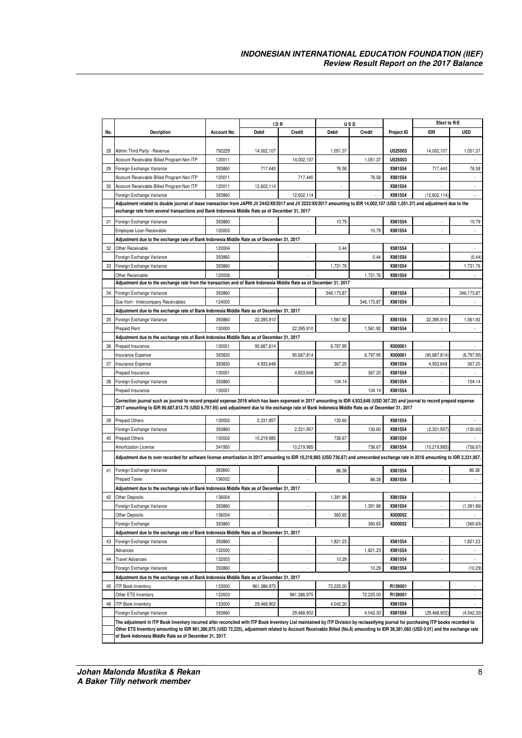|     |                                                                                                                                                                                      |             | ID R                     |                          |              | USD           |            | Efect to R/E             |             |
|-----|--------------------------------------------------------------------------------------------------------------------------------------------------------------------------------------|-------------|--------------------------|--------------------------|--------------|---------------|------------|--------------------------|-------------|
| No. | <b>Decription</b>                                                                                                                                                                    | Account No. | Debit                    | <b>Credit</b>            | <b>Debit</b> | <b>Credit</b> | Project ID | <b>IDR</b>               | <b>USD</b>  |
|     |                                                                                                                                                                                      |             |                          |                          |              |               |            |                          |             |
| 28  | Admin Third Party - Revenue                                                                                                                                                          | 792229      | 14,002,107               |                          | 1,051.37     |               | U525003    | 14,002,107               | 1,051.37    |
|     | Account Receivable Billed Program Non ITP                                                                                                                                            | 120011      |                          | 14,002,107               |              | 1,051.37      | U525003    |                          |             |
| 29  | Foreign Exchange Variance                                                                                                                                                            | 393860      | 717,440                  |                          | 76.58        |               | X981554    | 717,440                  | 76.58       |
|     | Account Receivable Billed Program Non ITP                                                                                                                                            | 120011      |                          | 717,440                  |              | 76.58         | X981554    |                          | ×,          |
| 30  | Account Receivable Billed Program Non ITP                                                                                                                                            | 120011      | 12,602,114               |                          |              |               | X981554    |                          |             |
|     | Foreign Exchange Variance                                                                                                                                                            | 393860      |                          | 12,602,114               |              |               | X981554    | (12,602,114)             |             |
|     | Adjustment related to double journal of lease transaction from JAPRI JV 2443/XII/2017 and JV 2222/XII/2017 amounting to IDR 14,002,107 (USD 1,051.37) and adjustment due to the      |             |                          |                          |              |               |            |                          |             |
|     | exchange rate from several transactions and Bank Indonesia Middle Rate as of December 31, 2017                                                                                       |             |                          |                          |              |               |            |                          |             |
| 31  | Foreign Exchange Variance                                                                                                                                                            | 393860      |                          |                          | 10.79        |               | X981554    |                          | 10.79       |
|     | Employee Loan Receivable                                                                                                                                                             | 120003      |                          |                          |              | 10.79         | X981554    |                          |             |
|     | Adjustment due to the exchange rate of Bank Indonesia Middle Rate as of December 31, 2017                                                                                            |             |                          |                          |              |               |            |                          |             |
| 32  | Other Receivable                                                                                                                                                                     | 120004      |                          |                          | 0.44         |               | X981554    |                          |             |
|     | Foreign Exchange Variance                                                                                                                                                            | 393860      |                          | ä,                       |              | 0.44          | X981554    |                          | (0.44)      |
| 33  | Foreign Exchange Variance                                                                                                                                                            | 393860      | $\overline{\phantom{a}}$ |                          | 1,731.76     |               | X981554    |                          | 1,731.76    |
|     | Other Receivable                                                                                                                                                                     | 120008      |                          |                          |              | 1,731.76      | X981554    |                          |             |
|     | Adjustment due to the exchange rate from the transaction and of Bank Indonesia Middle Rate as of December 31, 2017                                                                   |             |                          |                          |              |               |            |                          |             |
| 34  | Foreign Exchange Variance                                                                                                                                                            | 393860      |                          |                          | 346,173.87   |               | X981554    |                          | 346,173.87  |
|     | Due from - Intercompany Receivables                                                                                                                                                  | 124000      |                          |                          |              | 346,173.87    | X981554    |                          |             |
|     | Adjustment due to the exchange rate of Bank Indonesia Middle Rate as of December 31, 2017                                                                                            |             |                          |                          |              |               |            |                          |             |
| 35  | Foreign Exchange Variance                                                                                                                                                            | 393860      | 22,395,910               |                          | 1,561.92     |               | X981554    | 22,395,910               | 1,561.92    |
|     | Prepaid Rent                                                                                                                                                                         | 130000      |                          | 22,395,910               |              | 1,561.92      | X981554    |                          |             |
|     | Adjustment due to the exchange rate of Bank Indoneisa Middle Rate as of December 31, 2017                                                                                            |             |                          |                          |              |               |            |                          |             |
| 36  | Prepaid Insurance                                                                                                                                                                    | 130001      | 90,687,814               |                          | 6,797.95     |               | X000061    |                          |             |
|     | Insurance Expense                                                                                                                                                                    | 393830      |                          | 90,687,814               |              | 6,797.95      | X000061    | (90,687,814)             | (6,797.95)  |
| 37  | Insurance Expense                                                                                                                                                                    | 393830      | 4,933,648                |                          | 367.20       |               | X981554    | 4,933,648                | 367.20      |
|     | Prepaid Insurance                                                                                                                                                                    | 130001      |                          | 4,933,648                |              | 367.20        | X981554    |                          |             |
| 38  | Foreign Exchange Variance                                                                                                                                                            | 393860      |                          |                          | 104.14       |               | X981554    |                          | 104.14      |
|     | Prepaid Insurance                                                                                                                                                                    | 130001      |                          |                          |              | 104.14        | X981554    |                          |             |
|     | Correction journal such as journal to record prepaid expense 2016 which has been expensed in 2017 amounting to IDR 4,933,648 (USD 367.20) and journal to record prepaid expense      |             |                          |                          |              |               |            |                          |             |
|     | 2017 amounting to IDR 90,687,813.75 (USD 6,797.95) and adjustment due to the exchange rate of Bank Indonesia Middle Rate as of December 31, 2017                                     |             |                          |                          |              |               |            |                          |             |
| 39  | <b>Prepaid Others</b>                                                                                                                                                                | 130002      | 2,331,957                |                          | 130.60       |               | X981554    |                          |             |
|     | Foreign Exchange Variance                                                                                                                                                            | 393860      |                          | 2,331,957                |              | 130.60        | X981554    | (2, 331, 957)            | (130.60)    |
| 40  | <b>Prepaid Others</b>                                                                                                                                                                | 130002      | 10,219,985               |                          | 736.67       |               | X981554    |                          |             |
|     | <b>Amortization License</b>                                                                                                                                                          | 341950      |                          | 10,219,985               |              | 736.67        | X981554    | (10, 219, 985)           | (736.67)    |
|     |                                                                                                                                                                                      |             |                          |                          |              |               |            |                          |             |
|     | Adjustment due to over recorded for software license amortization in 2017 amounting to IDR 10,219,985 (USD 736,67) and unrecorded exchange rate in 2016 amounting to IDR 2,331,957.  |             |                          |                          |              |               |            |                          |             |
| 41  | Foreign Exchange Variance                                                                                                                                                            | 393860      |                          |                          | 86.38        |               | X981554    |                          | 86.38       |
|     | Prepaid Taxes                                                                                                                                                                        | 136002      |                          |                          |              | 86.38         | X981554    |                          |             |
|     | Adjustment due to the exchange rate of Bank Indonesia Middle Rate as of December 31, 2017                                                                                            |             |                          |                          |              |               |            |                          |             |
| 42  | Other Deposits                                                                                                                                                                       | 136004      |                          |                          | 1,391.86     |               | X981554    |                          |             |
|     | Foreign Exchange Variance                                                                                                                                                            | 393860      |                          |                          |              | 1,391.86      | X981554    |                          | (1, 391.86) |
|     | Other Deposits                                                                                                                                                                       | 136004      |                          |                          | 360.65       |               | X000052    |                          |             |
|     | Foreign Exchange                                                                                                                                                                     | 393860      |                          |                          |              | 360.65        | X000052    |                          | (360.65)    |
|     | Adjustment due to the exchange rate of Bank Indonesia Middle Rate as of December 31, 2017                                                                                            |             |                          |                          |              |               |            |                          |             |
| 43  | Foreign Exchange Variance                                                                                                                                                            | 393860      |                          |                          | 1,821.23     |               | X981554    |                          | 1,821.23    |
|     | Advances                                                                                                                                                                             | 132000      |                          | $\overline{\phantom{a}}$ |              | 1,821.23      | X981554    | $\overline{\phantom{a}}$ |             |
| 44  | <b>Travel Advances</b>                                                                                                                                                               | 132003      |                          |                          | 10.29        |               | X981554    |                          |             |
|     | Foreign Exchange Variance                                                                                                                                                            | 393860      |                          |                          |              | 10.29         | X981554    |                          | (10.29)     |
|     | Adjustment due to the exchange rate of Bank Indonesia Middle Rate as of December 31, 2017                                                                                            |             |                          |                          |              |               |            |                          |             |
| 45  | <b>ITP Book Inventory</b>                                                                                                                                                            | 133000      | 961,386,975              |                          | 72,225.00    |               | R139001    |                          | $\bar{z}$   |
|     | Other ETS Inventory                                                                                                                                                                  | 133003      |                          | 961,386,975              |              | 72,225.00     | R139001    |                          |             |
| 46  | <b>ITP Book Inventory</b>                                                                                                                                                            | 133000      | 29,468,902               |                          | 4,042.30     |               | X981554    |                          |             |
|     | Foreign Exchange Variance                                                                                                                                                            | 393860      |                          | 29,468,902               |              | 4,042.30      | X981554    | (29, 468, 902)           | (4,042.30)  |
|     | The adjustment in ITP Book Inventory incurred after reconciled with ITP Book Inventory List maintained by ITP Division by reclassifying journal for purchasing ITP books recorded to |             |                          |                          |              |               |            |                          |             |
|     | Other ETS Inventory amounting to IDR 961,386,975 (USD 72,225), adjustment related to Account Receivable Billed (No.8) amounting to IDR 36,381,060 (USD 0.01) and the exchange rate   |             |                          |                          |              |               |            |                          |             |
|     | of Bank Indonesia Middle Rate as of December 31, 2017.                                                                                                                               |             |                          |                          |              |               |            |                          |             |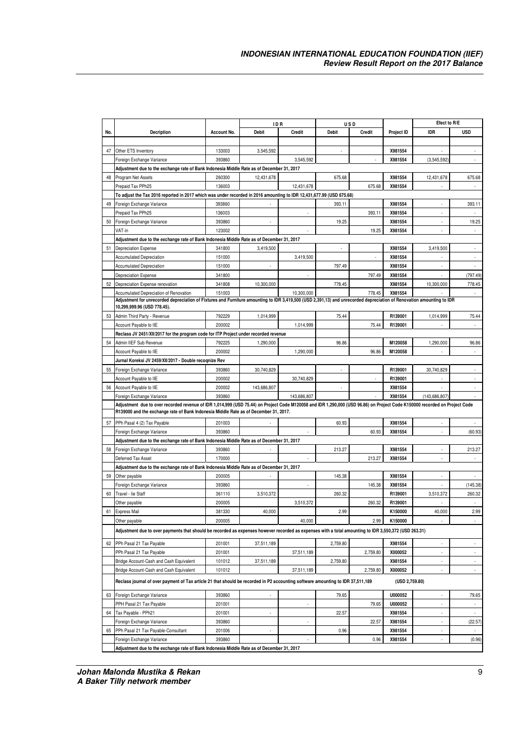|     |                                                                                                                                                                                                                                                                     |             | <b>IDR</b>   |             |              | USD           |                | Efect to R/E    |                             |
|-----|---------------------------------------------------------------------------------------------------------------------------------------------------------------------------------------------------------------------------------------------------------------------|-------------|--------------|-------------|--------------|---------------|----------------|-----------------|-----------------------------|
| No. | <b>Decription</b>                                                                                                                                                                                                                                                   | Account No. | <b>Debit</b> | Credit      | <b>Debit</b> | <b>Credit</b> | Project ID     | <b>IDR</b>      | <b>USD</b>                  |
|     |                                                                                                                                                                                                                                                                     |             |              |             |              |               |                |                 |                             |
|     |                                                                                                                                                                                                                                                                     |             |              |             |              |               |                |                 |                             |
| 47  | Other ETS Inventory                                                                                                                                                                                                                                                 | 133003      | 3,545,592    |             | ÷            |               | X981554        |                 |                             |
|     | Foreign Exchange Variance                                                                                                                                                                                                                                           | 393860      |              | 3,545,592   |              |               | X981554        | (3,545,592)     |                             |
|     | Adjustment due to the exchange rate of Bank Indonesia Middle Rate as of December 31, 2017                                                                                                                                                                           |             |              |             |              |               |                |                 |                             |
| 48  | Program Net Assets                                                                                                                                                                                                                                                  | 260300      | 12,431,678   |             | 675.68       |               | X981554        | 12,431,678      | 675.68                      |
|     | Prepaid Tax PPh25                                                                                                                                                                                                                                                   | 136003      |              | 12,431,678  |              | 675.68        | X981554        |                 |                             |
|     | To adjust the Tax 2016 reported in 2017 which was under recorded in 2016 amounting to IDR 12,431,677.99 (USD 675.68)                                                                                                                                                |             |              |             |              |               |                |                 |                             |
| 49  | Foreign Exchange Variance                                                                                                                                                                                                                                           | 393860      |              |             | 393.11       |               | X981554        |                 | 393.11                      |
|     | Prepaid Tax PPh25                                                                                                                                                                                                                                                   | 136003      |              |             |              | 393.11        | X981554        |                 |                             |
| 50  | Foreign Exchange Variance                                                                                                                                                                                                                                           | 393860      |              |             | 19.25        |               | X981554        |                 | 19.25                       |
|     | VAT-in                                                                                                                                                                                                                                                              | 123002      |              |             |              | 19.25         | X981554        |                 |                             |
|     | Adjustment due to the exchange rate of Bank Indonesia Middle Rate as of December 31, 2017                                                                                                                                                                           |             |              |             |              |               |                |                 |                             |
| 51  | <b>Depreciation Expense</b>                                                                                                                                                                                                                                         | 341800      | 3,419,500    |             |              |               | X981554        | 3,419,500       |                             |
|     | <b>Accumulated Depreciation</b>                                                                                                                                                                                                                                     | 151000      |              | 3,419,500   |              |               | X981554        |                 |                             |
|     | <b>Accumulated Depreciation</b>                                                                                                                                                                                                                                     | 151000      | ٠            |             | 797.49       |               | X981554        | ×,              |                             |
|     | <b>Depreciation Expense</b>                                                                                                                                                                                                                                         | 341800      |              |             |              | 797.49        | X981554        |                 | (797.49)                    |
| 52  | Depreciation Expense renovation                                                                                                                                                                                                                                     | 341808      | 10,300,000   |             | 778.45       |               | X981554        | 10,300,000      | 778.45                      |
|     | Accumulated Depreciation of Renovation                                                                                                                                                                                                                              | 151003      |              | 10,300,000  |              | 778.45        | X981554        |                 | ÷                           |
|     | Adjustment for unrecorded depreciation of Fixtures and Furniture amounting to IDR 3,419,500 (USD 2,391,13) and unrecorded depreciation of Renovation amounting to IDR                                                                                               |             |              |             |              |               |                |                 |                             |
|     | 10,299,999.96 (USD 778.45).                                                                                                                                                                                                                                         |             |              |             |              |               |                |                 |                             |
| 53  | Admin Third Party - Revenue                                                                                                                                                                                                                                         | 792229      | 1,014,999    |             | 75.44        |               | R139001        | 1,014,999       | 75.44                       |
|     | Account Payable to IIE                                                                                                                                                                                                                                              | 200002      |              | 1,014,999   |              | 75.44         | R139001        |                 |                             |
|     | Reclass JV 2451/XII/2017 for the program code for ITP Project under recorded revenue                                                                                                                                                                                |             |              |             |              |               |                |                 |                             |
| 54  | Admin IIEF Sub Revenue                                                                                                                                                                                                                                              | 792225      | 1,290,000    |             | 96.86        |               | M120058        | 1.290.000       | 96.86                       |
|     | Account Payable to IIE                                                                                                                                                                                                                                              | 200002      |              | 1,290,000   |              | 96.86         | M120058        |                 |                             |
|     | Jurnal Koreksi JV 2459/XII/2017 - Double recognize Rev                                                                                                                                                                                                              |             |              |             |              |               |                |                 |                             |
| 55  | Foreign Exchange Variance                                                                                                                                                                                                                                           | 393860      | 30,740,829   |             |              |               | R139001        | 30,740,829      |                             |
|     | Account Payable to IIE                                                                                                                                                                                                                                              | 200002      |              | 30,740,829  |              |               | R139001        |                 |                             |
|     |                                                                                                                                                                                                                                                                     |             |              |             |              |               |                | $\sim$          |                             |
| 56  | Account Payable to IIE                                                                                                                                                                                                                                              | 200002      | 143,686,807  |             | $\sim$       |               | X981554        |                 |                             |
|     | Foreign Exchange Variance                                                                                                                                                                                                                                           | 393860      |              | 143,686,807 |              |               | X981554        | (143, 686, 807) |                             |
|     | Adjustment due to over recorded revenue of IDR 1,014,999 (USD 75.44) on Project Code M120058 and IDR 1,290,000 (USD 96.86) on Project Code K150000 recorded on Project Code<br>R139000 and the exchange rate of Bank Indonesia Middle Rate as of December 31, 2017. |             |              |             |              |               |                |                 |                             |
|     |                                                                                                                                                                                                                                                                     |             |              |             |              |               |                |                 |                             |
| 57  | PPh Pasal 4 (2) Tax Payable                                                                                                                                                                                                                                         | 201003      |              |             | 60.93        |               | X981554        |                 |                             |
|     | Foreign Exchange Variance                                                                                                                                                                                                                                           | 393860      |              |             |              | 60.93         | X981554        |                 | (60.93)                     |
|     | Adjustment due to the exchange rate of Bank Indonesia Middle Rate as of December 31, 2017                                                                                                                                                                           |             |              |             |              |               |                |                 |                             |
| 58  | Foreign Exchange Variance                                                                                                                                                                                                                                           | 393860      |              |             | 213.27       |               | X981554        |                 | 213.27                      |
|     | Deferred Tax Asset                                                                                                                                                                                                                                                  | 170000      |              |             |              | 213.27        | X981554        |                 |                             |
|     | Adjustment due to the exchange rate of Bank Indonesia Middle Rate as of December 31, 2017                                                                                                                                                                           |             |              |             |              |               |                |                 |                             |
| 59  | Other payable                                                                                                                                                                                                                                                       | 200005      |              |             | 145.38       |               | X981554        |                 |                             |
|     | Foreign Exchange Variance                                                                                                                                                                                                                                           | 393860      |              |             |              | 145.38        | X981554        |                 | (145.38)                    |
| 60  | Travel - lie Staff                                                                                                                                                                                                                                                  | 361110      | 3,510,372    |             | 260.32       |               | R139001        | 3,510,372       | 260.32                      |
|     | Other payable                                                                                                                                                                                                                                                       | 200005      |              | 3,510,372   |              | 260.32        | R139001        |                 |                             |
| 61  | <b>Express Mail</b>                                                                                                                                                                                                                                                 | 381330      | 40,000       |             | 2.99         |               | K150000        | 40,000          | 2.99                        |
|     | Other payable                                                                                                                                                                                                                                                       | 200005      |              | 40,000      |              | 2.99          | K150000        |                 | ÷.                          |
|     | Adjustment due to over payments that should be recorded as expenses however recorded as expenses with a total amounting to IDR 3,550,372 (USD 263.31)                                                                                                               |             |              |             |              |               |                |                 |                             |
|     |                                                                                                                                                                                                                                                                     |             |              |             |              |               |                |                 |                             |
| 62  | PPh Pasal 21 Tax Payable                                                                                                                                                                                                                                            | 201001      | 37,511,189   |             | 2,759.80     |               | X981554        | ä,              |                             |
|     | PPh Pasal 21 Tax Payable                                                                                                                                                                                                                                            | 201001      |              | 37,511,189  |              | 2,759.80      | X000052        | ×,              |                             |
|     | Bridge Account-Cash and Cash Equivalent                                                                                                                                                                                                                             | 101012      | 37,511,189   |             | 2,759.80     |               | X981554        | ×,              | $\sim$                      |
|     | Bridge Account-Cash and Cash Equivalent                                                                                                                                                                                                                             | 101012      |              | 37,511,189  |              | 2,759.80      | X000052        |                 |                             |
|     | Reclass journal of over payment of Tax article 21 that should be recorded in P2 accounting software amounting to IDR 37,511,189                                                                                                                                     |             |              |             |              |               | (USD 2,759.80) |                 |                             |
| 63  | Foreign Exchange Variance                                                                                                                                                                                                                                           | 393860      | ä,           |             | 79.65        |               | U000052        | ×,              | 79.65                       |
|     | PPH Pasal 21 Tax Payable                                                                                                                                                                                                                                            | 201001      |              | i,          |              | 79.65         | U000052        | ÷,              | $\mathcal{L}_{\mathcal{A}}$ |
| 64  | Tax Payable - PPh21                                                                                                                                                                                                                                                 | 201001      | ÷.           |             | 22.57        |               | X981554        | ×,              | $\omega$                    |
|     |                                                                                                                                                                                                                                                                     |             |              |             |              |               |                |                 |                             |
|     | Foreign Exchange Variance                                                                                                                                                                                                                                           | 393860      |              | ×,          |              | 22.57         | X981554        | ÷               | (22.57)                     |
| 65  | PPh Pasal 21 Tax Payable-Consultant                                                                                                                                                                                                                                 | 201006      | ä,           |             | 0.96         |               | X981554        | ä,              |                             |
|     | Foreign Exchange Variance                                                                                                                                                                                                                                           | 393860      |              | ×,          |              | 0.96          | X981554        | ٠               | (0.96)                      |
|     | Adjustment due to the exchange rate of Bank Indonesia Middle Rate as of December 31, 2017                                                                                                                                                                           |             |              |             |              |               |                |                 |                             |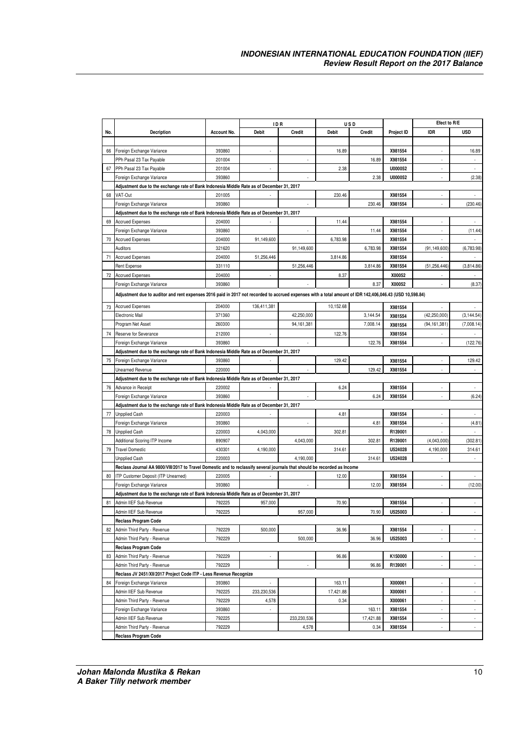|     |                                                                                                                                                          |                  | ID R                     |              |                     | USD           |                    | Efect to R/E   |                          |
|-----|----------------------------------------------------------------------------------------------------------------------------------------------------------|------------------|--------------------------|--------------|---------------------|---------------|--------------------|----------------|--------------------------|
| No. | <b>Decription</b>                                                                                                                                        | Account No.      | <b>Debit</b>             | Credit       | <b>Debit</b>        | <b>Credit</b> | Project ID         | <b>IDR</b>     | <b>USD</b>               |
|     |                                                                                                                                                          |                  |                          |              |                     |               |                    |                |                          |
| 66  | Foreign Exchange Variance                                                                                                                                | 393860           |                          |              | 16.89               |               | X981554            |                | 16.89                    |
|     | PPh Pasal 23 Tax Payable                                                                                                                                 | 201004           |                          |              |                     | 16.89         | X981554            | ×              | $\sim$                   |
| 67  | PPh Pasal 23 Tax Payable                                                                                                                                 | 201004           |                          |              | 2.38                |               | U000052            |                |                          |
|     | Foreign Exchange Variance                                                                                                                                | 393860           |                          |              |                     | 2.38          | U000052            |                | (2.38)                   |
|     | Adjustment due to the exchange rate of Bank Indonesia Middle Rate as of December 31, 2017                                                                |                  |                          |              |                     |               |                    |                |                          |
| 68  | VAT-Out                                                                                                                                                  | 201005           |                          |              | 230.46              |               | X981554            |                |                          |
|     | Foreign Exchange Variance                                                                                                                                | 393860           |                          |              |                     | 230.46        | X981554            |                | (230.46)                 |
|     | Adjustment due to the exchange rate of Bank Indonesia Middle Rate as of December 31, 2017                                                                |                  |                          |              |                     |               |                    |                |                          |
| 69  | <b>Accrued Expenses</b>                                                                                                                                  | 204000           |                          |              | 11.44               |               | X981554            |                |                          |
|     | Foreign Exchange Variance                                                                                                                                | 393860           |                          | ł,           |                     | 11.44         | X981554            | ×,             | (11.44)                  |
| 70  | <b>Accrued Expenses</b>                                                                                                                                  | 204000           | 91,149,600               |              | 6,783.98            |               | X981554            |                |                          |
|     | Auditors                                                                                                                                                 | 321620           |                          | 91,149,600   |                     | 6,783.98      | X981554            | (91, 149, 600) | (6,783.98)               |
| 71  | <b>Accrued Expenses</b>                                                                                                                                  | 204000           | 51,256,446               |              | 3,814.86            |               | X981554            |                |                          |
|     | Rent Expense                                                                                                                                             | 331110           |                          | 51,256,446   |                     | 3,814.86      | X981554            | (51, 256, 446) | (3,814.86)               |
| 72  | <b>Accrued Expenses</b>                                                                                                                                  | 204000           | ×                        |              | 8.37                |               | X00052             |                |                          |
|     | Foreign Exchange Variance                                                                                                                                | 393860           |                          |              |                     | 8.37          | X00052             |                | (8.37)                   |
|     | Adjustment due to auditor and rent expenses 2016 paid in 2017 not recorded to accrued expenses with a total amount of IDR 142,406,046.43 (USD 10,598.84) |                  |                          |              |                     |               |                    |                |                          |
|     |                                                                                                                                                          |                  |                          |              |                     |               |                    |                |                          |
| 73  | <b>Accrued Expenses</b>                                                                                                                                  | 204000           | 136,411,381              |              | 10,152.68           |               | X981554            |                |                          |
|     | Electronic Mail                                                                                                                                          | 371360           |                          | 42,250,000   |                     | 3,144.54      | X981554            | (42, 250, 000) | (3, 144.54)              |
|     | Program Net Asset                                                                                                                                        | 260300           |                          | 94, 161, 381 |                     | 7,008.14      | X981554            | (94, 161, 381) | (7,008.14)               |
| 74  | Reserve for Severance                                                                                                                                    | 212000           |                          |              | 122.76              |               | X981554            |                |                          |
|     | Foreign Exchange Variance                                                                                                                                | 393860           |                          |              |                     | 122.76        | X981554            |                | (122.76)                 |
|     | Adjustment due to the exchange rate of Bank Indonesia Middle Rate as of December 31, 2017                                                                |                  |                          |              |                     |               |                    |                |                          |
| 75  | Foreign Exchange Variance                                                                                                                                | 393860           |                          |              | 129.42              |               | X981554            |                | 129.42                   |
|     | Unearned Revenue                                                                                                                                         | 220000           |                          |              |                     | 129.42        | X981554            |                |                          |
|     | Adjustment due to the exchange rate of Bank Indonesia Middle Rate as of December 31, 2017                                                                |                  |                          |              |                     |               |                    |                |                          |
| 76  | Advance in Receipt                                                                                                                                       | 220002           |                          |              | 6.24                |               | X981554            |                |                          |
|     | Foreign Exchange Variance                                                                                                                                | 393860           |                          |              |                     | 6.24          | X981554            |                | (6.24)                   |
|     | Adjustment due to the exchange rate of Bank Indonesia Middle Rate as of December 31, 2017                                                                |                  |                          |              |                     |               |                    |                |                          |
| 77  | <b>Unpplied Cash</b>                                                                                                                                     | 220003           |                          |              | 4.81                |               | X981554            |                |                          |
|     | Foreign Exchange Variance                                                                                                                                | 393860           |                          |              |                     | 4.81          | X981554            |                | (4.81)                   |
| 78  | <b>Unpplied Cash</b>                                                                                                                                     | 220003           | 4,043,000                |              | 302.81              |               | R139001            |                |                          |
|     | Additional Scoring ITP Income                                                                                                                            | 890907           |                          | 4,043,000    |                     | 302.81        | R139001            | (4,043,000)    | (302.81)                 |
| 79  | <b>Travel Domestic</b>                                                                                                                                   | 430301           | 4,190,000                |              | 314.61              |               | U524028            | 4,190,000      | 314.61                   |
|     | Unpplied Cash                                                                                                                                            | 220003           |                          | 4,190,000    |                     | 314.61        | U524028            |                |                          |
|     | Reclass Journal AA 9800/VIII/2017 to Travel Domestic and to reclassify several journals that should be recorded as Income                                |                  |                          |              |                     |               |                    |                |                          |
| 80  | ITP Customer Deposit (ITP Unearned)                                                                                                                      | 220005           |                          |              | 12.00               |               | X981554            |                |                          |
|     | Foreign Exchange Variance                                                                                                                                | 393860           |                          |              |                     | 12.00         | X981554            |                | (12.00)                  |
|     | Adjustment due to the exchange rate of Bank Indonesia Middle Rate as of December 31, 2017<br>Admin IIEF Sub Revenue                                      | 792225           |                          |              | 70.90               |               | X981554            |                |                          |
| 81  |                                                                                                                                                          |                  | 957,000                  |              |                     |               |                    |                |                          |
|     | Admin IIEF Sub Revenue<br><b>Reclass Program Code</b>                                                                                                    | 792225           |                          | 957,000      |                     | 70.90         | U525003            |                |                          |
|     |                                                                                                                                                          |                  |                          |              |                     |               |                    |                |                          |
| 82  | Admin Third Party - Revenue                                                                                                                              | 792229<br>792229 | 500,000                  |              | 36.96               |               | X981554            |                | ×.                       |
|     | Admin Third Party - Revenue                                                                                                                              |                  |                          | 500,000      |                     | 36.96         | U525003            |                |                          |
| 83  | <b>Reclass Program Code</b>                                                                                                                              |                  | $\overline{\phantom{a}}$ |              |                     |               | K150000            | $\sim$         | $\sim$                   |
|     | Admin Third Party - Revenue                                                                                                                              | 792229           |                          |              | 96.86               |               | R139001            |                | ×,                       |
|     | Admin Third Party - Revenue                                                                                                                              | 792229           |                          |              |                     | 96.86         |                    |                |                          |
|     | Reclass JV 2451/XII/2017 Project Code ITP - Less Revenue Recognize                                                                                       |                  |                          |              |                     |               |                    |                |                          |
| 84  | Foreign Exchange Variance<br>Admin IIEF Sub Revenue                                                                                                      | 393860<br>792225 | ×,<br>233,230,536        |              | 163.11<br>17,421.88 |               | X000061<br>X000061 |                | $\overline{\phantom{a}}$ |
|     | Admin Third Party - Revenue                                                                                                                              | 792229           | 4,578                    |              | 0.34                |               | X000061            | ٠              | $\overline{\phantom{a}}$ |
|     |                                                                                                                                                          | 393860           | $\mathcal{L}$            |              |                     | 163.11        | X981554            | ÷,             | ×.                       |
|     | Foreign Exchange Variance                                                                                                                                | 792225           |                          | 233,230,536  |                     | 17,421.88     | X981554            | ×              | $\overline{\phantom{a}}$ |
|     | Admin IIEF Sub Revenue<br>Admin Third Party - Revenue                                                                                                    | 792229           |                          | 4,578        |                     | 0.34          | X981554            |                | ÷.                       |
|     | Reclass Program Code                                                                                                                                     |                  |                          |              |                     |               |                    |                |                          |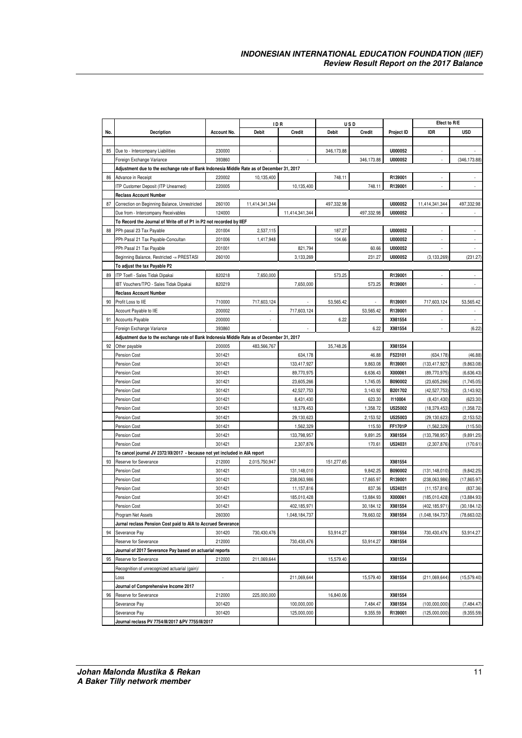|     |                                                                                           |             | ID R                     |                | USD          |               |            | Efect to R/E    |                          |
|-----|-------------------------------------------------------------------------------------------|-------------|--------------------------|----------------|--------------|---------------|------------|-----------------|--------------------------|
| No. | Decription                                                                                | Account No. | <b>Debit</b>             | Credit         | <b>Debit</b> | <b>Credit</b> | Project ID | <b>IDR</b>      | <b>USD</b>               |
|     |                                                                                           |             |                          |                |              |               |            |                 |                          |
| 85  | Due to - Intercompany Liabilities                                                         | 230000      | $\overline{\phantom{a}}$ |                | 346,173.88   |               | U000052    | ٠               |                          |
|     | Foreign Exchange Variance                                                                 | 393860      |                          |                |              | 346,173.88    | U000052    |                 | (346, 173.88)            |
|     |                                                                                           |             |                          |                |              |               |            |                 |                          |
|     | Adjustment due to the exchange rate of Bank Indonesia Middle Rate as of December 31, 2017 | 220002      |                          |                | 748.11       |               | R139001    |                 |                          |
| 86  | Advance in Receipt                                                                        |             | 10,135,400               |                |              |               |            |                 |                          |
|     | ITP Customer Deposit (ITP Unearned)                                                       | 220005      |                          | 10,135,400     |              | 748.11        | R139001    |                 |                          |
|     | <b>Reclass Account Number</b>                                                             |             |                          |                |              |               | U000052    |                 |                          |
| 87  | Correction on Beginning Balance, Unrestricted                                             | 260100      | 11,414,341,344           |                | 497,332.98   |               |            | 11,414,341,344  | 497,332.98               |
|     | Due from - Intercompany Receivables                                                       | 124000      |                          | 11,414,341,344 |              | 497,332.98    | U000052    |                 |                          |
|     | To Record the Journal of Write off of P1 in P2 not recorded by IIEF                       |             |                          |                |              |               |            |                 |                          |
| 88  | PPh pasal 23 Tax Payable                                                                  | 201004      | 2,537,115                |                | 187.27       |               | U000052    |                 |                          |
|     | PPh Pasal 21 Tax Payable-Concultan                                                        | 201006      | 1,417,948                |                | 104.66       |               | U000052    | ×,              |                          |
|     | PPh Pasal 21 Tax Payable                                                                  | 201001      |                          | 821,794        |              | 60.66         | U000052    |                 |                          |
|     | Beginning Balance, Restricted -= PRESTASI                                                 | 260100      |                          | 3,133,269      |              | 231.27        | U000052    | (3, 133, 269)   | (231.27)                 |
|     | To adjust the tax Payable P2                                                              |             |                          |                |              |               |            |                 |                          |
| 89  | ITP Toefl - Sales Tidak Dipakai                                                           | 820218      | 7,650,000                |                | 573.25       |               | R139001    |                 |                          |
|     | IBT Vouchers/TPO - Sales Tidak Dipakai                                                    | 820219      |                          | 7,650,000      |              | 573.25        | R139001    | ×,              | ÷,                       |
|     | <b>Reclass Account Number</b>                                                             |             |                          |                |              |               |            |                 |                          |
| 90  | Profit Loss to IIE                                                                        | 710000      | 717,603,124              |                | 53,565.42    |               | R139001    | 717,603,124     | 53,565.42                |
|     | Account Payable to IIE                                                                    | 200002      |                          | 717,603,124    |              | 53.565.42     | R139001    |                 |                          |
| 91  | Accounts Payable                                                                          | 200000      | $\overline{\phantom{a}}$ |                | 6.22         |               | X981554    | ×,              | $\overline{\phantom{a}}$ |
|     | Foreign Exchange Variance                                                                 | 393860      |                          |                |              | 6.22          | X981554    |                 | (6.22)                   |
|     | Adjustment due to the exchange rate of Bank Indonesia Middle Rate as of December 31, 2017 |             |                          |                |              |               |            |                 |                          |
| 92  | Other payable                                                                             | 200005      | 483,566,767              |                | 35,748.26    |               | X981554    |                 |                          |
|     | <b>Pension Cost</b>                                                                       | 301421      |                          | 634,178        |              | 46.88         | F523101    | (634, 178)      | (46.88)                  |
|     | <b>Pension Cost</b>                                                                       | 301421      |                          | 133,417,927    |              | 9,863.08      | R139001    | (133, 417, 927) | (9,863.08)               |
|     | <b>Pension Cost</b>                                                                       | 301421      |                          | 89,770,975     |              | 6,636.43      | X000061    | (89,770,975)    | (6,636.43)               |
|     | Pension Cost                                                                              | 301421      |                          | 23,605,266     |              | 1,745.05      | B090002    | (23,605,266)    | (1,745.05)               |
|     | Pension Cost                                                                              | 301421      |                          | 42,527,753     |              | 3,143.92      | B201702    | (42,527,753)    | (3, 143.92)              |
|     | <b>Pension Cost</b>                                                                       | 301421      |                          | 8,431,430      |              | 623.30        | 1110004    | (8,431,430)     | (623.30)                 |
|     | Pension Cost                                                                              | 301421      |                          | 18,379,453     |              | 1,358.72      | U525002    | (18, 379, 453)  | (1,358.72)               |
|     | <b>Pension Cost</b>                                                                       | 301421      |                          | 29,130,623     |              | 2,153.52      | U525003    | (29, 130, 623)  | (2, 153.52)              |
|     | <b>Pension Cost</b>                                                                       | 301421      |                          | 1,562,329      |              | 115.50        | FF1701P    | (1,562,329)     | (115.50)                 |
|     | Pension Cost                                                                              | 301421      |                          | 133,798,957    |              | 9,891.25      | X981554    | (133,798,957    | (9,891.25)               |
|     | Pension Cost                                                                              | 301421      |                          | 2,307,876      |              | 170.61        | U524031    | (2,307,876)     | (170.61)                 |
|     | To cancel journal JV 2372/XII/2017 - because not yet included in AIA report               |             |                          |                |              |               |            |                 |                          |
| 93  | Reserve for Severance                                                                     | 212000      | 2,015,750,947            |                | 151,277.65   |               | X981554    |                 |                          |
|     | <b>Pension Cost</b>                                                                       | 301421      |                          | 131,148,010    |              | 9,842.25      | B090002    | (131, 148, 010) | (9,842.25)               |
|     | Pension Cost                                                                              | 301421      |                          | 238,063,986    |              | 17,865.97     | R139001    | (238,063,986)   | (17, 865.97)             |
|     | <b>Pension Cost</b>                                                                       | 301421      |                          | 11,157,816     |              | 837.36        | U524031    | (11, 157, 816)  | (837.36)                 |
|     | Pension Cost                                                                              | 301421      |                          | 185,010,428    |              | 13.884.93     | X000061    | (185,010,428)   | (13,884.93)              |
|     | <b>Pension Cost</b>                                                                       | 301421      |                          | 402,185,971    |              | 30,184.12     | X981554    | (402, 185, 971) | (30, 184.12)             |
|     | Program Net Assets                                                                        | 260300      |                          | 1,048,184,737  |              | 78,663.02     | X981554    | (1,048,184,737) | (78, 663.02)             |
|     | Jurnal reclass Pension Cost paid to AIA to Accrued Severance                              |             |                          |                |              |               |            |                 |                          |
| 94  | Severance Pay                                                                             | 301420      | 730,430,476              |                | 53,914.27    |               | X981554    | 730,430,476     | 53,914.27                |
|     | Reserve for Severance                                                                     | 212000      |                          | 730,430,476    |              | 53,914.27     | X981554    |                 |                          |
|     | Journal of 2017 Severance Pay based on actuarial reports                                  |             |                          |                |              |               |            |                 |                          |
| 95  | Reserve for Severance                                                                     | 212000      | 211,069,644              |                | 15,579.40    |               | X981554    |                 |                          |
|     | Recognition of unrecognized actuarial (gain)/                                             |             |                          |                |              |               |            |                 |                          |
|     | Loss                                                                                      | ÷.          |                          | 211,069,644    |              | 15,579.40     | X981554    | (211,069,644)   | (15, 579.40)             |
|     | Journal of Comprehensive Income 2017                                                      |             |                          |                |              |               |            |                 |                          |
| 96  | Reserve for Severance                                                                     | 212000      | 225,000,000              |                | 16,840.06    |               | X981554    |                 |                          |
|     | Severance Pay                                                                             | 301420      |                          | 100,000,000    |              | 7,484.47      | X981554    | (100,000,000)   | (7,484.47)               |
|     | Severance Pay                                                                             | 301420      |                          | 125,000,000    |              | 9,355.59      | R139001    | (125,000,000)   | (9,355.59)               |
|     | Journal reclass PV 7754/III/2017 &PV 7755/III/2017                                        |             |                          |                |              |               |            |                 |                          |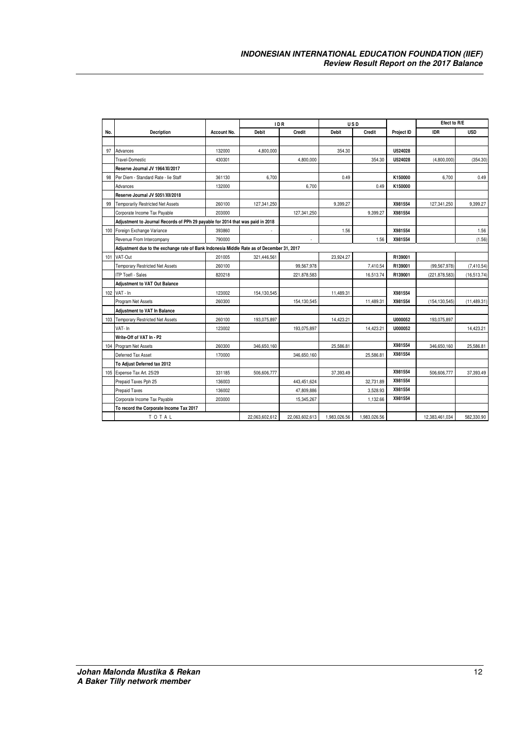|     |                                                                                           |             | <b>IDR</b>     |                | USD          |               |            |                 | Efect to R/E |
|-----|-------------------------------------------------------------------------------------------|-------------|----------------|----------------|--------------|---------------|------------|-----------------|--------------|
| No. | Decription                                                                                | Account No. | <b>Debit</b>   | <b>Credit</b>  | <b>Debit</b> | <b>Credit</b> | Project ID | <b>IDR</b>      | <b>USD</b>   |
|     |                                                                                           |             |                |                |              |               |            |                 |              |
| 97  | Advances                                                                                  | 132000      | 4,800,000      |                | 354.30       |               | U524028    |                 |              |
|     | Travel-Domestic                                                                           | 430301      |                | 4,800,000      |              | 354.30        | U524028    | (4,800,000)     | (354.30)     |
|     | Reserve Journal JV 1964/XI/2017                                                           |             |                |                |              |               |            |                 |              |
| 98  | Per Diem - Standard Rate - lie Staff                                                      | 361130      | 6,700          |                | 0.49         |               | K150000    | 6,700           | 0.49         |
|     | Advances                                                                                  | 132000      |                | 6,700          |              | 0.49          | K150000    |                 |              |
|     | Reserve Journal JV 5051/XII/2018                                                          |             |                |                |              |               |            |                 |              |
| 99  | <b>Temporarily Restricted Net Assets</b>                                                  | 260100      | 127,341,250    |                | 9,399.27     |               | X981554    | 127,341,250     | 9.399.27     |
|     | Corporate Income Tax Payable                                                              | 203000      |                | 127,341,250    |              | 9.399.27      | X981554    |                 |              |
|     | Adjustment to Journal Records of PPh 29 payable for 2014 that was paid in 2018            |             |                |                |              |               |            |                 |              |
|     | 100 Foreign Exchange Variance                                                             | 393860      |                |                | 1.56         |               | X981554    |                 | 1.56         |
|     | Revenue From Intercompany                                                                 | 790000      |                |                |              | 1.56          | X981554    |                 | (1.56)       |
|     | Adjustment due to the exchange rate of Bank Indonesia Middle Rate as of December 31, 2017 |             |                |                |              |               |            |                 |              |
| 101 | VAT-Out                                                                                   | 201005      | 321,446,561    |                | 23,924.27    |               | R139001    |                 |              |
|     | <b>Temporary Restricted Net Assets</b>                                                    | 260100      |                | 99,567,978     |              | 7,410.54      | R139001    | (99, 567, 978)  | (7, 410.54)  |
|     | <b>ITP ToefI - Sales</b>                                                                  | 820218      |                | 221,878,583    |              | 16,513.74     | R139001    | (221, 878, 583) | (16, 513.74) |
|     | <b>Adjustment to VAT Out Balance</b>                                                      |             |                |                |              |               |            |                 |              |
|     | 102 VAT - In                                                                              | 123002      | 154,130,545    |                | 11,489.31    |               | X981554    |                 |              |
|     | Program Net Assets                                                                        | 260300      |                | 154, 130, 545  |              | 11,489.31     | X981554    | (154, 130, 545) | (11, 489.31) |
|     | <b>Adjustment to VAT In Balance</b>                                                       |             |                |                |              |               |            |                 |              |
|     | 103 Temporary Restricted Net Assets                                                       | 260100      | 193,075,897    |                | 14,423.21    |               | U000052    | 193,075,897     |              |
|     | VAT- In                                                                                   | 123002      |                | 193,075,897    |              | 14,423.21     | U000052    |                 | 14,423.21    |
|     | Write-Off of VAT In - P2                                                                  |             |                |                |              |               |            |                 |              |
| 104 | <b>Program Net Assets</b>                                                                 | 260300      | 346,650,160    |                | 25,586.81    |               | X981554    | 346,650,160     | 25,586.81    |
|     | Deferred Tax Asset                                                                        | 170000      |                | 346,650,160    |              | 25,586.81     | X981554    |                 |              |
|     | To Adiust Deferred tax 2012                                                               |             |                |                |              |               |            |                 |              |
|     | 105 Expense Tax Art. 25/29                                                                | 331185      | 506,606,777    |                | 37,393.49    |               | X981554    | 506,606,777     | 37,393.49    |
|     | Prepaid Taxes Pph 25                                                                      | 136003      |                | 443,451,624    |              | 32,731.89     | X981554    |                 |              |
|     | <b>Prepaid Taxes</b>                                                                      | 136002      |                | 47,809,886     |              | 3,528.93      | X981554    |                 |              |
|     | Corporate Income Tax Payable                                                              | 203000      |                | 15,345,267     |              | 1,132.66      | X981554    |                 |              |
|     | To record the Corporate Income Tax 2017                                                   |             |                |                |              |               |            |                 |              |
|     | TOTAL                                                                                     |             | 22,063,602,612 | 22,063,602,613 | 1,983,026.56 | 1,983,026.56  |            | 12,383,461,034  | 582,330.90   |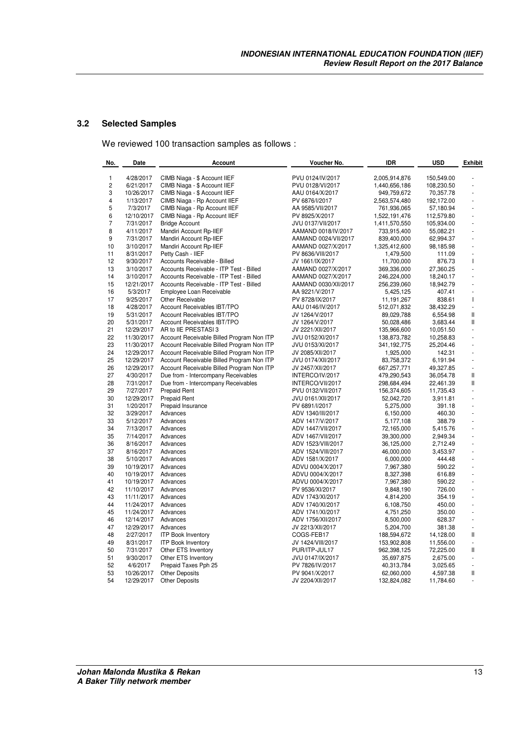#### **3.2 Selected Samples**

We reviewed 100 transaction samples as follows :

| No.                      | Date<br><b>Account</b> |                                           | Voucher No.          | IDR           | <b>USD</b> | <b>Exhibit</b> |  |
|--------------------------|------------------------|-------------------------------------------|----------------------|---------------|------------|----------------|--|
| 1                        | 4/28/2017              | CIMB Niaga - \$ Account IIEF              | PVU 0124/IV/2017     | 2,005,914,876 | 150,549.00 |                |  |
| 2                        | 6/21/2017              | CIMB Niaga - \$ Account IIEF              | PVU 0128/VI/2017     | 1,440,656,186 | 108,230.50 |                |  |
| 3                        | 10/26/2017             | CIMB Niaga - \$ Account IIEF              | AAU 0164/X/2017      | 949,759,672   | 70,357.78  |                |  |
| 4                        | 1/13/2017              | CIMB Niaga - Rp Account IIEF              | PV 6876/I/2017       | 2,563,574,480 |            | L,             |  |
|                          |                        |                                           |                      |               | 192,172.00 | L,             |  |
| 5<br>6                   | 7/3/2017               | CIMB Niaga - Rp Account IIEF              | AA 9585/VII/2017     | 761,936,065   | 57,180.94  | L,             |  |
|                          | 12/10/2017             | CIMB Niaga - Rp Account IIEF              | PV 8925/X/2017       | 1,522,191,476 | 112,579.80 |                |  |
| $\overline{\phantom{a}}$ | 7/31/2017              | <b>Bridge Account</b>                     | JVU 0137/VII/2017    | 1,411,570,550 | 105,934.00 |                |  |
| 8                        | 4/11/2017              | Mandiri Account Rp-IIEF                   | AAMAND 0018/IV/2017  | 733,915,400   | 55,082.21  | L,             |  |
| 9                        | 7/31/2017              | Mandiri Account Rp-IIEF                   | AAMAND 0024/VII/2017 | 839,400,000   | 62,994.37  |                |  |
| 10                       | 3/10/2017              | Mandiri Account Rp-IIEF                   | AAMAND 0027/X/2017   | 1,325,412,600 | 98,185.98  |                |  |
| 11                       | 8/31/2017              | Petty Cash - IIEF                         | PV 8636/VIII/2017    | 1,479,500     | 111.09     |                |  |
| 12                       | 9/30/2017              | Accounts Receivable - Billed              | JV 1661/IX/2017      | 11,700,000    | 876.73     | T              |  |
| 13                       | 3/10/2017              | Accounts Receivable - ITP Test - Billed   | AAMAND 0027/X/2017   | 369,336,000   | 27,360.25  |                |  |
| 14                       | 3/10/2017              | Accounts Receivable - ITP Test - Billed   | AAMAND 0027/X/2017   | 246,224,000   | 18,240.17  |                |  |
| 15                       | 12/21/2017             | Accounts Receivable - ITP Test - Billed   | AAMAND 0030/XII/2017 | 256,239,060   | 18,942.79  |                |  |
| 16                       | 5/3/2017               | Employee Loan Receivable                  | AA 9221/V/2017       | 5,425,125     | 407.41     | L,             |  |
| 17                       | 9/25/2017              | Other Receivable                          | PV 8728/IX/2017      | 11,191,267    | 838.61     | T              |  |
| 18                       | 4/28/2017              | Account Receivables IBT/TPO               | AAU 0146/IV/2017     | 512,071,832   | 38,432.29  | ä,             |  |
| 19                       | 5/31/2017              | Account Receivables IBT/TPO               | JV 1264/V/2017       | 89,029,788    | 6,554.98   | Ш              |  |
| 20                       | 5/31/2017              | Account Receivables IBT/TPO               | JV 1264/V/2017       | 50,028,486    | 3,683.44   | Ш              |  |
| 21                       | 12/29/2017             | AR to IIE PRESTASI 3                      | JV 2221/XII/2017     | 135,966,600   | 10,051.50  | ÷,             |  |
| 22                       | 11/30/2017             | Account Receivable Billed Program Non ITP | JVU 0152/XI/2017     | 138,873,782   | 10,258.83  | L,             |  |
| 23                       | 11/30/2017             | Account Receivable Billed Program Non ITP | JVU 0153/XI/2017     | 341,192,775   | 25,204.46  |                |  |
| 24                       | 12/29/2017             | Account Receivable Billed Program Non ITP | JV 2085/XII/2017     | 1,925,000     | 142.31     |                |  |
| 25                       | 12/29/2017             | Account Receivable Billed Program Non ITP | JVU 0174/XII/2017    | 83,758,372    | 6,191.94   | ÷,             |  |
| 26                       | 12/29/2017             | Account Receivable Billed Program Non ITP | JV 2457/XII/2017     | 667,257,771   | 49,327.85  | $\blacksquare$ |  |
| 27                       | 4/30/2017              | Due from - Intercompany Receivables       | INTERCO/IV/2017      | 479,290,543   | 36,054.78  | Ш              |  |
| 28                       | 7/31/2017              | Due from - Intercompany Receivables       | INTERCO/VII/2017     | 298,684,494   | 22,461.39  | Ш              |  |
| 29                       | 7/27/2017              | <b>Prepaid Rent</b>                       | PVU 0132/VII/2017    | 156,374,605   | 11,735.43  |                |  |
| 30                       | 12/29/2017             | <b>Prepaid Rent</b>                       | JVU 0161/XII/2017    | 52,042,720    | 3,911.81   |                |  |
| 31                       | 1/20/2017              | Prepaid Insurance                         | PV 6891/l/2017       | 5,275,000     | 391.18     |                |  |
| 32                       | 3/29/2017              | Advances                                  | ADV 1340/III/2017    | 6,150,000     | 460.30     | L,             |  |
| 33                       | 5/12/2017              | Advances                                  | ADV 1417/V/2017      | 5,177,108     | 388.79     | L,             |  |
| 34                       | 7/13/2017              | Advances                                  | ADV 1447/VII/2017    | 72,165,000    | 5,415.76   | ÷,             |  |
| 35                       | 7/14/2017              | Advances                                  | ADV 1467/VII/2017    | 39,300,000    | 2,949.34   | L,             |  |
| 36                       | 8/16/2017              | Advances                                  | ADV 1523/VIII/2017   | 36,125,000    | 2,712.49   |                |  |
| 37                       | 8/16/2017              | Advances                                  | ADV 1524/VIII/2017   | 46,000,000    | 3,453.97   | ł,             |  |
| 38                       | 5/10/2017              | Advances                                  | ADV 1581/X/2017      | 6,000,000     | 444.48     |                |  |
| 39                       | 10/19/2017             | Advances                                  | ADVU 0004/X/2017     | 7,967,380     | 590.22     | $\overline{a}$ |  |
| 40                       | 10/19/2017             | Advances                                  | ADVU 0004/X/2017     | 8,327,398     | 616.89     | ä,             |  |
| 41                       | 10/19/2017             | Advances                                  | ADVU 0004/X/2017     | 7,967,380     | 590.22     |                |  |
| 42                       | 11/10/2017             | Advances                                  | PV 9536/XI/2017      | 9,848,190     | 726.00     | $\overline{a}$ |  |
| 43                       | 11/11/2017             | Advances                                  | ADV 1743/XI/2017     | 4,814,200     | 354.19     | ä,             |  |
| 44                       | 11/24/2017             | Advances                                  | ADV 1740/XI/2017     | 6,108,750     | 450.00     |                |  |
| 45                       | 11/24/2017             | Advances                                  | ADV 1741/XI/2017     | 4,751,250     | 350.00     | L.             |  |
| 46                       | 12/14/2017             | Advances                                  | ADV 1756/XII/2017    | 8,500,000     | 628.37     | ÷,             |  |
| 47                       | 12/29/2017             | Advances                                  | JV 2213/XII/2017     | 5,204,700     | 381.38     | ÷              |  |
| 48                       | 2/27/2017              | <b>ITP Book Inventory</b>                 | COGS-FEB17           | 188,594,672   | 14,128.00  | Ш              |  |
| 49                       | 8/31/2017              | <b>ITP Book Inventory</b>                 | JV 1424/VIII/2017    | 153,902,808   | 11,556.00  | ä,             |  |
| 50                       | 7/31/2017              | Other ETS Inventory                       | PUR/ITP-JUL17        | 962,398,125   | 72,225.00  | Ш              |  |
| 51                       | 9/30/2017              | Other ETS Inventory                       | JVU 0147/IX/2017     | 35,697,875    | 2,675.00   | ÷,             |  |
| 52                       | 4/6/2017               | Prepaid Taxes Pph 25                      | PV 7826/IV/2017      | 40,313,784    | 3,025.65   | ä,             |  |
| 53                       | 10/26/2017             | <b>Other Deposits</b>                     | PV 9041/X/2017       | 62,060,000    | 4,597.38   | Ш              |  |
| 54                       | 12/29/2017             | <b>Other Deposits</b>                     | JV 2204/XII/2017     | 132,824,082   | 11,784.60  |                |  |
|                          |                        |                                           |                      |               |            |                |  |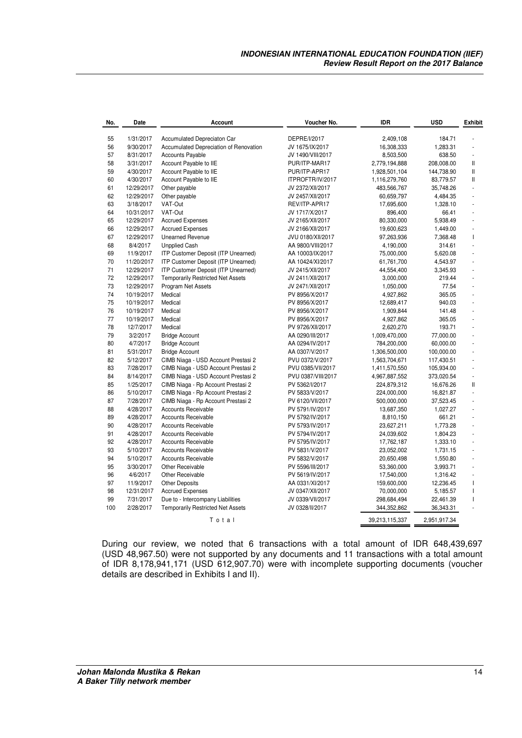| No.       | Date                   | Account                                                                       | Voucher No.                         | <b>IDR</b>                 | <b>USD</b>             | <b>Exhibit</b> |
|-----------|------------------------|-------------------------------------------------------------------------------|-------------------------------------|----------------------------|------------------------|----------------|
| 55        | 1/31/2017              | Accumulated Depreciaton Car                                                   | DEPRE/1/2017                        | 2,409,108                  | 184.71                 |                |
| 56        | 9/30/2017              | Accumulated Depreciation of Renovation                                        | JV 1675/IX/2017                     | 16,308,333                 | 1,283.31               |                |
| 57        | 8/31/2017              | <b>Accounts Payable</b>                                                       | JV 1490/VIII/2017                   | 8,503,500                  | 638.50                 | ÷,             |
| 58        | 3/31/2017              | Account Payable to IIE                                                        | PUR/ITP-MAR17                       | 2,779,194,888              | 208,008.00             | Ш              |
| 59        | 4/30/2017              | Account Payable to IIE                                                        | PUR/ITP-APR17                       | 1,928,501,104              | 144,738.90             | Ш              |
| 60        | 4/30/2017              | Account Payable to IIE                                                        | ITPROFTR/IV/2017                    | 1,116,279,760              | 83,779.57              | Ш              |
| 61        | 12/29/2017             | Other payable                                                                 | JV 2372/XII/2017                    | 483,566,767                | 35,748.26              | L,             |
| 62        | 12/29/2017             | Other payable                                                                 | JV 2457/XII/2017                    | 60,659,797                 | 4,484.35               |                |
| 63        | 3/18/2017              | VAT-Out                                                                       | REV/ITP-APR17                       | 17,695,600                 | 1,328.10               | L,             |
| 64        | 10/31/2017             | VAT-Out                                                                       | JV 1717/X/2017                      | 896,400                    | 66.41                  | L.             |
| 65        | 12/29/2017             | <b>Accrued Expenses</b>                                                       | JV 2165/XII/2017                    | 80,330,000                 | 5,938.49               | ä,             |
| 66        | 12/29/2017             | <b>Accrued Expenses</b>                                                       | JV 2166/XII/2017                    | 19,600,623                 | 1,449.00               | ÷,             |
| 67        | 12/29/2017             | <b>Unearned Revenue</b>                                                       | JVU 0180/XII/2017                   | 97,263,936                 | 7,368.48               | $\mathbf{I}$   |
| 68        | 8/4/2017               | <b>Unpplied Cash</b>                                                          | AA 9800/VIII/2017                   | 4,190,000                  | 314.61                 | L.             |
| 69        | 11/9/2017              | ITP Customer Deposit (ITP Unearned)                                           | AA 10003/IX/2017                    | 75,000,000                 | 5,620.08               | L.             |
| 70        | 11/20/2017             | ITP Customer Deposit (ITP Unearned)                                           | AA 10424/XI/2017                    | 61,761,700                 | 4,543.97               | L,             |
| 71        | 12/29/2017             | ITP Customer Deposit (ITP Unearned)                                           | JV 2415/XII/2017                    | 44,554,400                 | 3,345.93               | L              |
| 72        | 12/29/2017             | <b>Temporarily Restricted Net Assets</b>                                      | JV 2411/XII/2017                    | 3,000,000                  | 219.44                 | $\overline{a}$ |
| 73        | 12/29/2017             | Program Net Assets                                                            | JV 2471/XII/2017                    | 1,050,000                  | 77.54                  | L.             |
| 74        | 10/19/2017             | Medical                                                                       | PV 8956/X/2017                      | 4,927,862                  | 365.05                 | L.             |
| 75        | 10/19/2017             | Medical                                                                       | PV 8956/X/2017                      | 12,689,417                 | 940.03                 | L,             |
| 76        | 10/19/2017             | Medical                                                                       | PV 8956/X/2017                      | 1,909,844                  | 141.48                 | L,             |
| 77        | 10/19/2017             | Medical                                                                       | PV 8956/X/2017                      | 4,927,862                  | 365.05                 | ä,             |
| 78        | 12/7/2017              | Medical                                                                       | PV 9726/XII/2017                    | 2,620,270                  | 193.71                 | ä,             |
| 79        | 3/2/2017               | <b>Bridge Account</b>                                                         | AA 0290/III/2017                    | 1,009,470,000              | 77,000.00              | ä,             |
| 80        | 4/7/2017               | <b>Bridge Account</b>                                                         | AA 0294/IV/2017                     | 784,200,000                | 60,000.00              | ÷,             |
| 81        | 5/31/2017              | <b>Bridge Account</b>                                                         | AA 0307/V/2017                      | 1,306,500,000              | 100,000.00             | ä,             |
| 82        | 5/12/2017              | CIMB Niaga - USD Account Prestasi 2                                           | PVU 0372/V/2017                     | 1,563,704,671              | 117,430.51             | ä,             |
| 83        | 7/28/2017              | CIMB Niaga - USD Account Prestasi 2                                           | PVU 0385/VII/2017                   | 1,411,570,550              | 105,934.00             | ä,             |
| 84        | 8/14/2017              | CIMB Niaga - USD Account Prestasi 2                                           | PVU 0387/VIII/2017                  | 4,967,887,552              | 373,020.54             | L.             |
| 85        | 1/25/2017              | CIMB Niaga - Rp Account Prestasi 2                                            | PV 5362/I/2017                      | 224,879,312                | 16,676.26              | Ш              |
| 86        | 5/10/2017              | CIMB Niaga - Rp Account Prestasi 2                                            | PV 5833/V/2017                      | 224,000,000                | 16,821.87              | L,             |
| 87        | 7/28/2017              | CIMB Niaga - Rp Account Prestasi 2                                            | PV 6120/VII/2017                    | 500,000,000                | 37,523.45              |                |
| 88        | 4/28/2017              | <b>Accounts Receivable</b>                                                    | PV 5791/IV/2017                     | 13,687,350                 | 1,027.27               | ÷,             |
| 89        | 4/28/2017              | Accounts Receivable                                                           |                                     |                            |                        |                |
| 90        | 4/28/2017              | Accounts Receivable                                                           | PV 5792/IV/2017<br>PV 5793/IV/2017  | 8,810,150                  | 661.21                 | $\blacksquare$ |
| 91        | 4/28/2017              | Accounts Receivable                                                           |                                     | 23,627,211                 | 1,773.28               |                |
| 92        |                        |                                                                               | PV 5794/IV/2017                     | 24,039,602                 | 1,804.23               | ä,             |
|           | 4/28/2017              | Accounts Receivable                                                           | PV 5795/IV/2017                     | 17,762,187                 | 1,333.10               | L.             |
| 93        | 5/10/2017              | Accounts Receivable                                                           | PV 5831/V/2017                      | 23,052,002                 | 1,731.15               |                |
| 94        | 5/10/2017              | Accounts Receivable                                                           | PV 5832/V/2017                      | 20,650,498                 | 1,550.80               | L,             |
| 95        | 3/30/2017              | Other Receivable                                                              | PV 5596/III/2017                    | 53,360,000                 | 3,993.71               |                |
| 96        | 4/6/2017               | Other Receivable                                                              | PV 5619/IV/2017                     | 17,540,000                 | 1,316.42               | ÷,             |
| 97        | 11/9/2017              | <b>Other Deposits</b>                                                         | AA 0331/XI/2017                     | 159,600,000                | 12,236.45              | $\mathbf{I}$   |
| 98        | 12/31/2017             | <b>Accrued Expenses</b>                                                       | JV 0347/XII/2017                    | 70,000,000                 | 5,185.57               | $\mathbf{I}$   |
| 99<br>100 | 7/31/2017<br>2/28/2017 | Due to - Intercompany Liabilities<br><b>Temporarily Restricted Net Assets</b> | JV 0339/VII/2017<br>JV 0328/II/2017 | 298,684,494<br>344,352,862 | 22,461.39<br>36,343.31 | $\overline{1}$ |
|           |                        | Total                                                                         |                                     | 39,213,115,337             | 2,951,917.34           |                |

During our review, we noted that 6 transactions with a total amount of IDR 648,439,697 (USD 48,967.50) were not supported by any documents and 11 transactions with a total amount of IDR 8,178,941,171 (USD 612,907.70) were with incomplete supporting documents (voucher details are described in Exhibits I and II).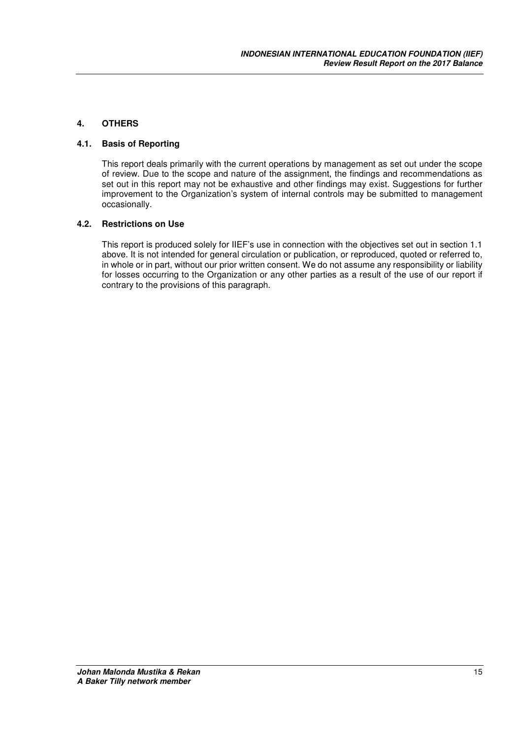#### **4. OTHERS**

#### **4.1. Basis of Reporting**

This report deals primarily with the current operations by management as set out under the scope of review. Due to the scope and nature of the assignment, the findings and recommendations as set out in this report may not be exhaustive and other findings may exist. Suggestions for further improvement to the Organization's system of internal controls may be submitted to management occasionally.

#### **4.2. Restrictions on Use**

This report is produced solely for IIEF's use in connection with the objectives set out in section 1.1 above. It is not intended for general circulation or publication, or reproduced, quoted or referred to, in whole or in part, without our prior written consent. We do not assume any responsibility or liability for losses occurring to the Organization or any other parties as a result of the use of our report if contrary to the provisions of this paragraph.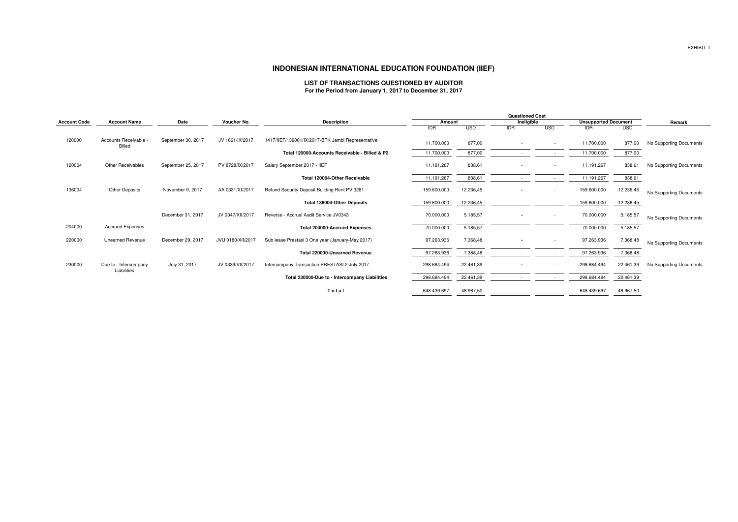|                     |                                        |                    |                   |                                                   |             | <b>Questioned Cost</b> |                          |                          |             |                             |                         |
|---------------------|----------------------------------------|--------------------|-------------------|---------------------------------------------------|-------------|------------------------|--------------------------|--------------------------|-------------|-----------------------------|-------------------------|
| <b>Account Code</b> | <b>Account Name</b>                    | Date               | Voucher No.       | <b>Description</b>                                |             | Amount                 |                          | Ineligible               |             | <b>Unsupported Document</b> | Remark                  |
|                     |                                        |                    |                   |                                                   | <b>IDR</b>  | <b>USD</b>             | <b>IDR</b>               | <b>USD</b>               | <b>IDR</b>  | <b>USD</b>                  |                         |
| 120000              | Accounts Receivable -<br><b>Billed</b> | September 30, 2017 | JV 1661/IX/2017   | 1417/IIEF/139001/IX/2017-BPK Jambi Representative | 11.700.000  | 877,00                 |                          | $\overline{\phantom{a}}$ | 11.700.000  | 877,00                      | No Supporting Documents |
|                     |                                        |                    |                   | Total 120000-Accounts Receivable - Billed & P2    | 11.700.000  | 877,00                 | $\overline{\phantom{a}}$ | $\overline{\phantom{a}}$ | 11.700.000  | 877,00                      |                         |
| 120004              | <b>Other Receivables</b>               | September 25, 2017 | PV 8728/IX/2017   | Salary September 2017 - IIEF                      | 11.191.267  | 838,61                 |                          | $\overline{\phantom{a}}$ | 11.191.267  | 838,61                      | No Supporting Documents |
|                     |                                        |                    |                   | Total 120004-Other Receivable                     | 11.191.267  | 838,61                 |                          |                          | 11.191.267  | 838,61                      |                         |
| 136004              | <b>Other Deposits</b>                  | November 9, 2017   | AA 0331/XI/2017   | Refund Security Deposit Building Rent PV 3281     | 159.600.000 | 12.236,45              |                          |                          | 159.600.000 | 12.236,45                   | No Supporting Documents |
|                     |                                        |                    |                   | <b>Total 136004-Other Deposits</b>                | 159.600.000 | 12.236,45              |                          | $\sim$                   | 159.600.000 | 12.236,45                   |                         |
|                     |                                        | December 31, 2017  | JV 0347/XII/2017  | Reverse - Accrual Audit Service JV0343            | 70.000.000  | 5.185,57               |                          |                          | 70.000.000  | 5.185,57                    | No Supporting Documents |
| 204000              | <b>Accrued Expenses</b>                |                    |                   | <b>Total 204000-Accrued Expenses</b>              | 70.000.000  | 5.185,57               |                          | $\overline{\phantom{a}}$ | 70.000.000  | 5.185,57                    |                         |
| 220000              | <b>Unearned Revenue</b>                | December 29, 2017  | JVU 0180/XII/2017 | Sub lease Prestasi 3 One year (January-May 2017)  | 97.263.936  | 7.368,48               |                          | $\overline{\phantom{a}}$ | 97.263.936  | 7.368,48                    | No Supporting Documents |
|                     |                                        |                    |                   | <b>Total 220000-Unearned Revenue</b>              | 97.263.936  | 7.368,48               |                          | $\overline{\phantom{0}}$ | 97.263.936  | 7.368,48                    |                         |
| 230000              | Due to - Intercompany<br>Liabilities   | July 31, 2017      | JV 0339/VII/2017  | Intercompany Transaction PRESTASI 2 July 2017     | 298.684.494 | 22.461,39              | $\sim$                   |                          | 298.684.494 | 22.461,39                   | No Supporting Documents |
|                     |                                        |                    |                   | Total 230000-Due to - Intercompany Liabilities    | 298.684.494 | 22.461,39              |                          |                          | 298.684.494 | 22.461,39                   |                         |
|                     |                                        |                    |                   | Total                                             | 648.439.697 | 48.967,50              |                          |                          | 648.439.697 | 48.967,50                   |                         |

## **INDONESIAN INTERNATIONAL EDUCATION FOUNDATION (IIEF)**

#### **LIST OF TRANSACTIONS QUESTIONED BY AUDITORFor the Period from January 1, 2017 to December 31, 2017**